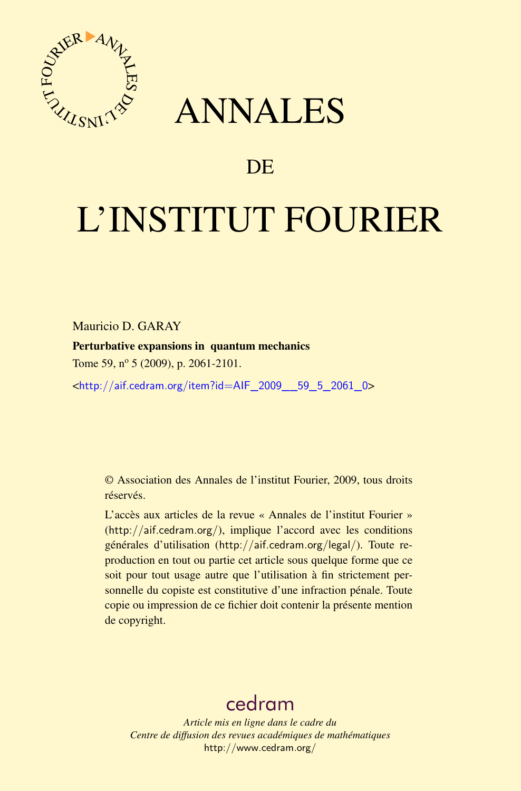

## ANNALES

## **DE**

# L'INSTITUT FOURIER

Mauricio D. GARAY

Perturbative expansions in quantum mechanics

Tome 59, n<sup>o</sup> 5 (2009), p. 2061-2101.

<[http://aif.cedram.org/item?id=AIF\\_2009\\_\\_59\\_5\\_2061\\_0](http://aif.cedram.org/item?id=AIF_2009__59_5_2061_0)>

© Association des Annales de l'institut Fourier, 2009, tous droits réservés.

L'accès aux articles de la revue « Annales de l'institut Fourier » (<http://aif.cedram.org/>), implique l'accord avec les conditions générales d'utilisation (<http://aif.cedram.org/legal/>). Toute reproduction en tout ou partie cet article sous quelque forme que ce soit pour tout usage autre que l'utilisation à fin strictement personnelle du copiste est constitutive d'une infraction pénale. Toute copie ou impression de ce fichier doit contenir la présente mention de copyright.

## [cedram](http://www.cedram.org/)

*Article mis en ligne dans le cadre du Centre de diffusion des revues académiques de mathématiques* <http://www.cedram.org/>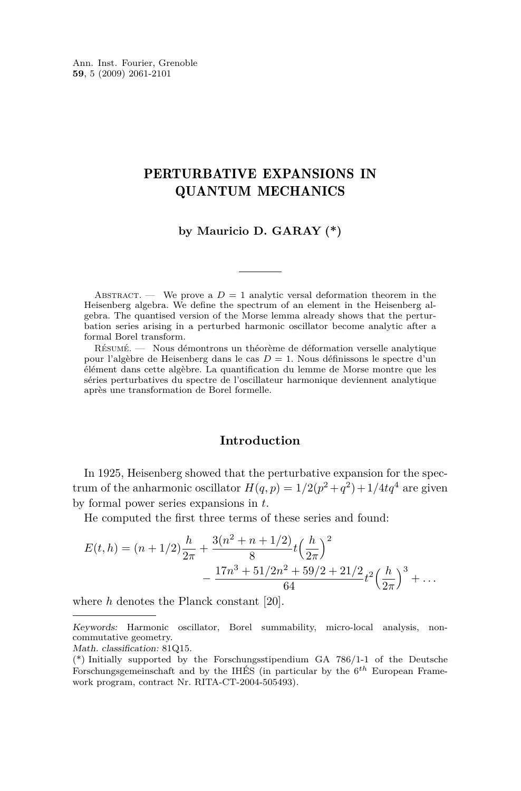Ann. Inst. Fourier, Grenoble **59**, 5 (2009) 2061-2101

### PERTURBATIVE EXPANSIONS IN QUANTUM MECHANICS

**by Mauricio D. GARAY (\*)**

ABSTRACT. — We prove a  $D = 1$  analytic versal deformation theorem in the Heisenberg algebra. We define the spectrum of an element in the Heisenberg algebra. The quantised version of the Morse lemma already shows that the perturbation series arising in a perturbed harmonic oscillator become analytic after a formal Borel transform.

Résumé. — Nous démontrons un théorème de déformation verselle analytique pour l'algèbre de Heisenberg dans le cas *D* = 1. Nous définissons le spectre d'un élément dans cette algèbre. La quantification du lemme de Morse montre que les séries perturbatives du spectre de l'oscillateur harmonique deviennent analytique après une transformation de Borel formelle.

#### **Introduction**

In 1925, Heisenberg showed that the perturbative expansion for the spectrum of the anharmonic oscillator  $H(q, p) = 1/2(p^2 + q^2) + 1/4tq^4$  are given by formal power series expansions in *t*.

He computed the first three terms of these series and found:

$$
E(t, h) = (n + 1/2)\frac{h}{2\pi} + \frac{3(n^2 + n + 1/2)}{8}t\left(\frac{h}{2\pi}\right)^2
$$

$$
-\frac{17n^3 + 51/2n^2 + 59/2 + 21/2}{64}t^2\left(\frac{h}{2\pi}\right)^3 + \dots
$$

where *h* denotes the Planck constant [\[20\]](#page-40-0).

Math. classification: 81Q15.

Keywords: Harmonic oscillator, Borel summability, micro-local analysis, noncommutative geometry.

<sup>(\*)</sup> Initially supported by the Forschungsstipendium GA 786/1-1 of the Deutsche Forschungsgemeinschaft and by the IHÉS (in particular by the 6 *th* European Framework program, contract Nr. RITA-CT-2004-505493).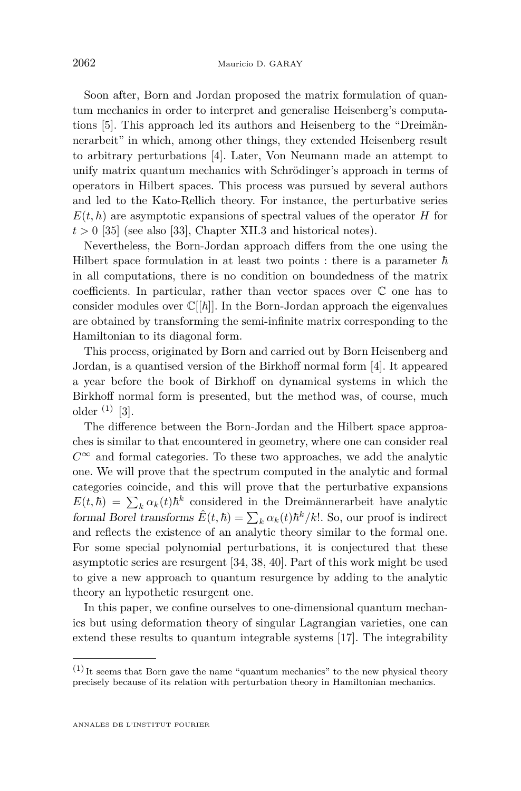Soon after, Born and Jordan proposed the matrix formulation of quantum mechanics in order to interpret and generalise Heisenberg's computations [\[5\]](#page-40-0). This approach led its authors and Heisenberg to the "Dreimännerarbeit" in which, among other things, they extended Heisenberg result to arbitrary perturbations [\[4\]](#page-39-0). Later, Von Neumann made an attempt to unify matrix quantum mechanics with Schrödinger's approach in terms of operators in Hilbert spaces. This process was pursued by several authors and led to the Kato-Rellich theory. For instance, the perturbative series  $E(t, h)$  are asymptotic expansions of spectral values of the operator *H* for  $t > 0$  [\[35\]](#page-41-0) (see also [\[33\]](#page-41-0), Chapter XII.3 and historical notes).

Nevertheless, the Born-Jordan approach differs from the one using the Hilbert space formulation in at least two points : there is a parameter  $\hbar$ in all computations, there is no condition on boundedness of the matrix coefficients. In particular, rather than vector spaces over C one has to consider modules over  $\mathbb{C}[[\hbar]]$ . In the Born-Jordan approach the eigenvalues are obtained by transforming the semi-infinite matrix corresponding to the Hamiltonian to its diagonal form.

This process, originated by Born and carried out by Born Heisenberg and Jordan, is a quantised version of the Birkhoff normal form [\[4\]](#page-39-0). It appeared a year before the book of Birkhoff on dynamical systems in which the Birkhoff normal form is presented, but the method was, of course, much older  $(1)$  [\[3\]](#page-39-0).

The difference between the Born-Jordan and the Hilbert space approaches is similar to that encountered in geometry, where one can consider real  $C^{\infty}$  and formal categories. To these two approaches, we add the analytic one. We will prove that the spectrum computed in the analytic and formal categories coincide, and this will prove that the perturbative expansions  $E(t,\hbar) = \sum_{k} \alpha_k(t) \hbar^k$  considered in the Dreimännerarbeit have analytic formal Borel transforms  $\hat{E}(t,\hbar) = \sum_{k} \alpha_k(t) \hbar^k / k!$ . So, our proof is indirect and reflects the existence of an analytic theory similar to the formal one. For some special polynomial perturbations, it is conjectured that these asymptotic series are resurgent [\[34,](#page-41-0) [38,](#page-41-0) [40\]](#page-41-0). Part of this work might be used to give a new approach to quantum resurgence by adding to the analytic theory an hypothetic resurgent one.

In this paper, we confine ourselves to one-dimensional quantum mechanics but using deformation theory of singular Lagrangian varieties, one can extend these results to quantum integrable systems [\[17\]](#page-40-0). The integrability

 $(1)$  It seems that Born gave the name "quantum mechanics" to the new physical theory precisely because of its relation with perturbation theory in Hamiltonian mechanics.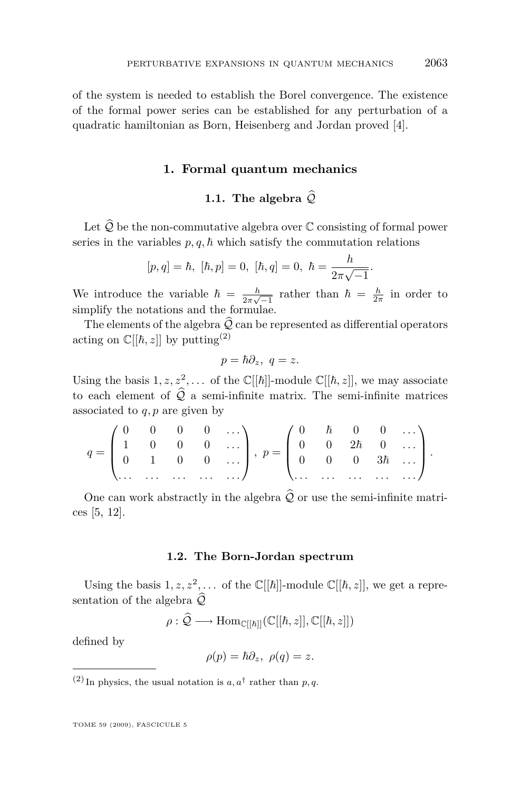of the system is needed to establish the Borel convergence. The existence of the formal power series can be established for any perturbation of a quadratic hamiltonian as Born, Heisenberg and Jordan proved [\[4\]](#page-39-0).

#### **1. Formal quantum mechanics**

#### **1.1.** The algebra  $\widehat{Q}$

Let  $\widehat{Q}$  be the non-commutative algebra over  $\mathbb C$  consisting of formal power series in the variables  $p, q, \hbar$  which satisfy the commutation relations

$$
[p,q] = \hbar, \,\,[\hbar,p] = 0, \,\,[\hbar,q] = 0, \,\,\hbar = \frac{h}{2\pi\sqrt{-1}}.
$$

We introduce the variable  $\hbar = \frac{h}{2\pi i}$  $\frac{h}{2\pi\sqrt{-1}}$  rather than  $\hbar = \frac{h}{2\pi}$  in order to simplify the notations and the formulae.

The elements of the algebra  $\hat{Q}$  can be represented as differential operators acting on  $\mathbb{C}[[\hbar, z]]$  by putting<sup>(2)</sup>

$$
p=\hbar\partial_z, \ q=z.
$$

Using the basis  $1, z, z^2, \ldots$  of the  $\mathbb{C}[[\hbar]]$ -module  $\mathbb{C}[[\hbar, z]],$  we may associate to each element of  $\widehat{Q}$  a semi-infinite matrix. The semi-infinite matrices associated to *q, p* are given by

$$
q = \begin{pmatrix} 0 & 0 & 0 & 0 & \dots \\ 1 & 0 & 0 & 0 & \dots \\ 0 & 1 & 0 & 0 & \dots \\ \dots & \dots & \dots & \dots & \dots \end{pmatrix}, p = \begin{pmatrix} 0 & \hbar & 0 & 0 & \dots \\ 0 & 0 & 2\hbar & 0 & \dots \\ 0 & 0 & 0 & 3\hbar & \dots \\ \dots & \dots & \dots & \dots & \dots \end{pmatrix}.
$$

One can work abstractly in the algebra  $\widehat{\mathcal{Q}}$  or use the semi-infinite matrices [\[5,](#page-40-0) [12\]](#page-40-0).

#### **1.2. The Born-Jordan spectrum**

Using the basis  $1, z, z^2, \ldots$  of the  $\mathbb{C}[[\hbar]]$ -module  $\mathbb{C}[[\hbar, z]],$  we get a representation of the algebra  $\widehat{Q}$ 

$$
\rho : \widehat{\mathcal{Q}} \longrightarrow \mathrm{Hom}_{\mathbb{C}[[\hbar]]}(\mathbb{C}[[\hbar,z]], \mathbb{C}[[\hbar,z]])
$$

defined by

$$
\rho(p) = \hbar \partial_z, \ \rho(q) = z.
$$

<sup>(2)</sup> In physics, the usual notation is  $a, a^{\dagger}$  rather than *p*, *q*.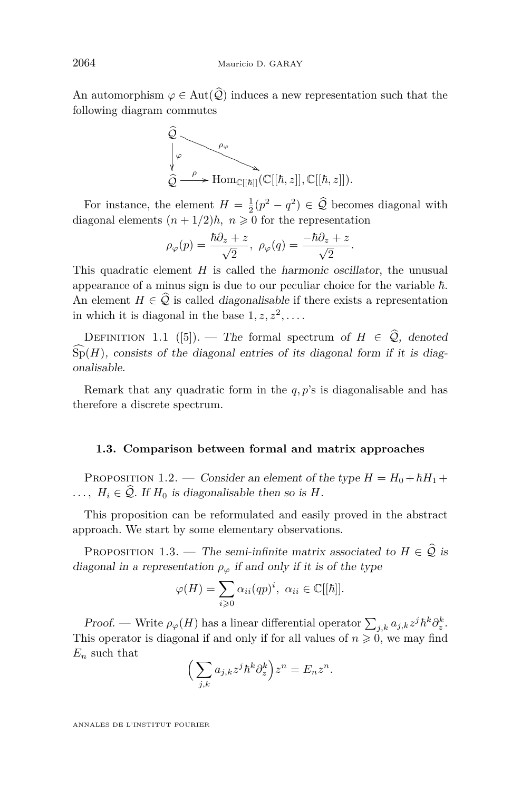<span id="page-4-0"></span>An automorphism  $\varphi \in \text{Aut}(\widehat{\mathcal{Q}})$  induces a new representation such that the following diagram commutes



For instance, the element  $H = \frac{1}{2}(p^2 - q^2) \in \mathcal{Q}$  becomes diagonal with diagonal elements  $(n + 1/2)\hbar$ ,  $n \geq 0$  for the representation

$$
\rho_\varphi(p)=\frac{\hbar\partial_z+z}{\sqrt{2}},\ \rho_\varphi(q)=\frac{-\hbar\partial_z+z}{\sqrt{2}}.
$$

This quadratic element *H* is called the harmonic oscillator, the unusual appearance of a minus sign is due to our peculiar choice for the variable  $\hbar$ . An element  $H \in \hat{Q}$  is called *diagonalisable* if there exists a representation in which it is diagonal in the base  $1, z, z^2, \ldots$ .

DEFINITION 1.1 ([\[5\]](#page-40-0)). — The formal spectrum of  $H \in \hat{Q}$ , denoted  $\widehat{Sp}(H)$ , consists of the diagonal entries of its diagonal form if it is diagonalisable.

Remark that any quadratic form in the *q, p*'s is diagonalisable and has therefore a discrete spectrum.

#### **1.3. Comparison between formal and matrix approaches**

PROPOSITION 1.2. — Consider an element of the type  $H = H_0 + \hbar H_1 +$  $\ldots$ ,  $H_i \in \hat{Q}$ . If  $H_0$  is diagonalisable then so is *H*.

This proposition can be reformulated and easily proved in the abstract approach. We start by some elementary observations.

PROPOSITION 1.3. — The semi-infinite matrix associated to  $H \in \hat{Q}$  is diagonal in a representation  $\rho_{\varphi}$  if and only if it is of the type

$$
\varphi(H) = \sum_{i \geq 0} \alpha_{ii}(qp)^i, \ \alpha_{ii} \in \mathbb{C}[[\hbar]].
$$

Proof. — Write  $\rho_{\varphi}(H)$  has a linear differential operator  $\sum_{j,k} a_{j,k} z^j \hbar^k \partial_z^k$ . This operator is diagonal if and only if for all values of  $n \geq 0$ , we may find *E<sup>n</sup>* such that

$$
\Big(\sum_{j,k} a_{j,k} z^j \hbar^k \partial_z^k\Big) z^n = E_n z^n.
$$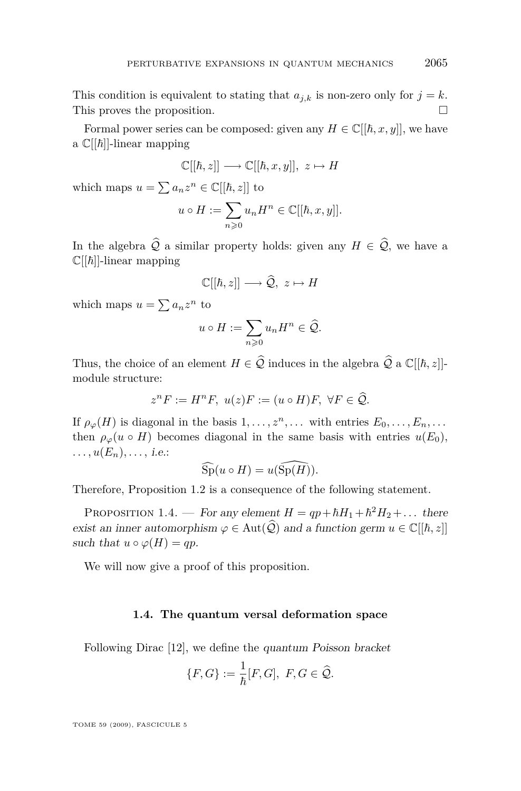<span id="page-5-0"></span>This condition is equivalent to stating that  $a_{i,k}$  is non-zero only for  $j = k$ . This proves the proposition.

Formal power series can be composed: given any  $H \in \mathbb{C}[[\hbar, x, y]]$ , we have a  $\mathbb{C}[[\hbar]]$ -linear mapping

$$
\mathbb{C}[[\hbar,z]] \longrightarrow \mathbb{C}[[\hbar,x,y]], z \mapsto H
$$

which maps  $u = \sum a_n z^n \in \mathbb{C}[[\hbar, z]]$  to

$$
u \circ H := \sum_{n \geqslant 0} u_n H^n \in \mathbb{C}[[\hbar, x, y]].
$$

In the algebra  $\hat{Q}$  a similar property holds: given any  $H \in \hat{Q}$ , we have a  $\mathbb{C}[[\hbar]]$ -linear mapping

$$
\mathbb{C}[[\hbar,z]] \longrightarrow \widehat{\mathcal{Q}}, \ z \mapsto H
$$

which maps  $u = \sum a_n z^n$  to

$$
u \circ H := \sum_{n \geqslant 0} u_n H^n \in \widehat{\mathcal{Q}}.
$$

Thus, the choice of an element  $H \in \hat{Q}$  induces in the algebra  $\hat{Q}$  a  $\mathbb{C}[[\hbar, z]]$ module structure:

$$
z^n F := H^n F, \ u(z)F := (u \circ H)F, \ \forall F \in \widehat{Q}.
$$

If  $\rho_{\varphi}(H)$  is diagonal in the basis  $1, \ldots, z^n, \ldots$  with entries  $E_0, \ldots, E_n, \ldots$ then  $\rho_{\varphi}(u \circ H)$  becomes diagonal in the same basis with entries  $u(E_0)$ ,  $...$ ,  $u(E_n), \ldots$ , *i.e.*:

$$
\widehat{\mathrm{Sp}}(u \circ H) = u(\widehat{\mathrm{Sp}(H)}).
$$

Therefore, Proposition [1.2](#page-4-0) is a consequence of the following statement.

PROPOSITION 1.4. — For any element  $H = qp + ħH_1 + ħ^2H_2 + \dots$  there exist an inner automorphism  $\varphi \in \text{Aut}(\widehat{\mathcal{Q}})$  and a function germ  $u \in \mathbb{C}[[\hbar, z]]$ such that  $u \circ \varphi(H) = qp$ .

We will now give a proof of this proposition.

#### **1.4. The quantum versal deformation space**

Following Dirac [\[12\]](#page-40-0), we define the quantum Poisson bracket

$$
\{F,G\} := \frac{1}{\hbar}[F,G],\ F,G \in \widehat{\mathcal{Q}}.
$$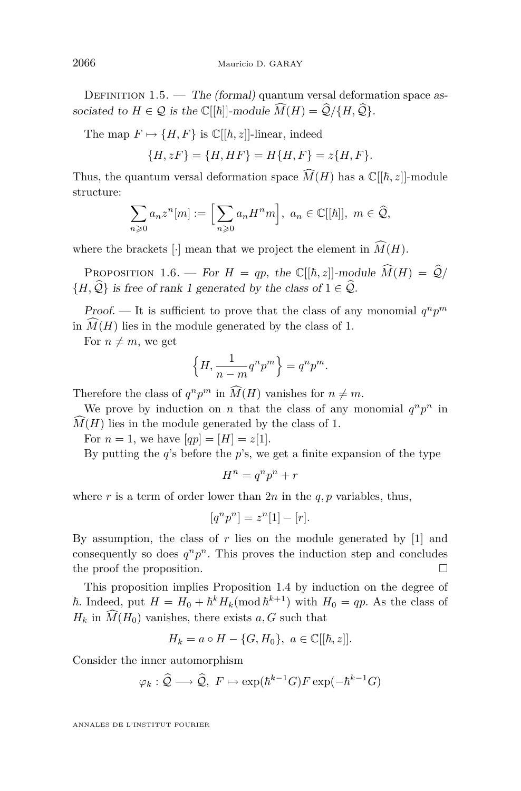DEFINITION 1.5.  $-$  The (formal) quantum versal deformation space associated to  $H \in \mathcal{Q}$  is the  $\mathbb{C}[[\hbar]]$ -module  $\widehat{M}(H) = \widehat{\mathcal{Q}}/\{H, \widehat{\mathcal{Q}}\}$ .

The map  $F \mapsto \{H, F\}$  is  $\mathbb{C}[[\hbar, z]]$ -linear, indeed

$$
\{H, zF\} = \{H, HF\} = H\{H, F\} = z\{H, F\}.
$$

Thus, the quantum versal deformation space  $\widehat{M}(H)$  has a  $\mathbb{C}[[\hbar,z]]$ -module structure:

$$
\sum_{n\geqslant 0} a_n z^n[m] := \Big[\sum_{n\geqslant 0} a_n H^n m\Big], \ a_n \in \mathbb{C}[[\hbar]], \ m \in \widehat{\mathcal{Q}},
$$

where the brackets [ $\cdot$ ] mean that we project the element in  $\widehat{M}(H)$ .

PROPOSITION 1.6. — For  $H = qp$ , the  $\mathbb{C}[[\hbar, z]]$ -module  $\widehat{M}(H) = \widehat{Q}/\mathbb{C}$  ${H, \hat{Q}}$  is free of rank 1 generated by the class of  $1 \in \hat{Q}$ .

Proof. — It is sufficient to prove that the class of any monomial  $q^n p^m$ in  $\hat{M}(H)$  lies in the module generated by the class of 1.

For  $n \neq m$ , we get

$$
\left\{H, \frac{1}{n-m}q^n p^m\right\} = q^n p^m.
$$

Therefore the class of  $q^n p^m$  in  $\widehat{M}(H)$  vanishes for  $n \neq m$ .

We prove by induction on *n* that the class of any monomial  $q^n p^n$  in  $M(H)$  lies in the module generated by the class of 1.

For  $n = 1$ , we have  $[qp] = [H] = z[1]$ .

By putting the *q*'s before the *p*'s, we get a finite expansion of the type

$$
H^n = q^n p^n + r
$$

where  $r$  is a term of order lower than  $2n$  in the  $q, p$  variables, thus,

$$
[q^n p^n] = z^n [1] - [r].
$$

By assumption, the class of  $r$  lies on the module generated by  $[1]$  and consequently so does  $q^n p^n$ . This proves the induction step and concludes the proof the proposition.  $\Box$ 

This proposition implies Proposition [1.4](#page-5-0) by induction on the degree of  $\hbar$ . Indeed, put  $H = H_0 + \hbar^k H_k \pmod{\hbar^{k+1}}$  with  $H_0 = qp$ . As the class of  $H_k$  in  $\widehat{M}(H_0)$  vanishes, there exists *a, G* such that

$$
H_k = a \circ H - \{G, H_0\}, \ a \in \mathbb{C}[[\hbar, z]].
$$

Consider the inner automorphism

$$
\varphi_k : \widehat{Q} \longrightarrow \widehat{Q}, F \mapsto \exp(\hbar^{k-1}G)F \exp(-\hbar^{k-1}G)
$$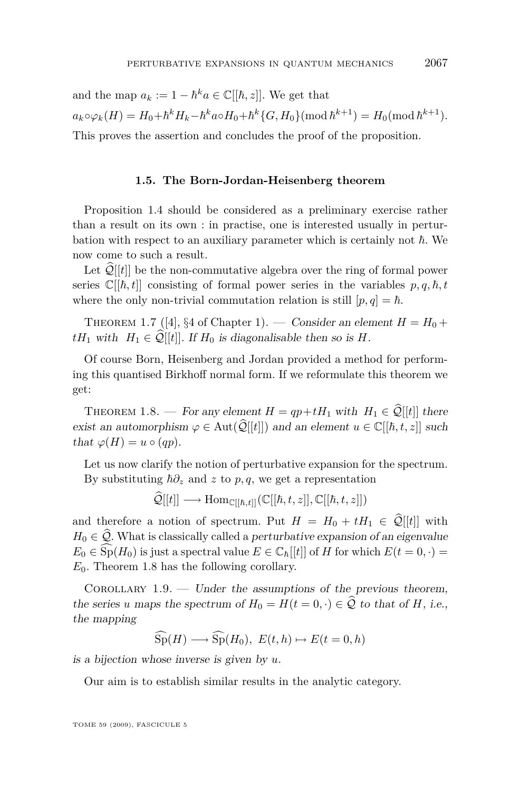and the map  $a_k := 1 - \hbar^k a \in \mathbb{C}[[\hbar, z]].$  We get that  $a_k \circ \varphi_k(H) = H_0 + \hbar^k H_k - \hbar^k a \circ H_0 + \hbar^k \{G, H_0\} \pmod{\hbar^{k+1}} = H_0 \pmod{\hbar^{k+1}}.$ This proves the assertion and concludes the proof of the proposition.

#### **1.5. The Born-Jordan-Heisenberg theorem**

Proposition [1.4](#page-5-0) should be considered as a preliminary exercise rather than a result on its own : in practise, one is interested usually in perturbation with respect to an auxiliary parameter which is certainly not  $\hbar$ . We now come to such a result.

Let  $\mathcal{Q}[[t]]$  be the non-commutative algebra over the ring of formal power series  $\mathbb{C}[[\hbar, t]]$  consisting of formal power series in the variables  $p, q, \hbar, t$ where the only non-trivial commutation relation is still  $[p, q] = \hbar$ .

THEOREM 1.7 ([\[4\]](#page-39-0), §4 of Chapter 1). — Consider an element  $H = H_0 +$ *tH*<sub>1</sub> with  $H_1 \in \hat{Q}[[t]]$ . If  $H_0$  is diagonalisable then so is *H*.

Of course Born, Heisenberg and Jordan provided a method for performing this quantised Birkhoff normal form. If we reformulate this theorem we get:

THEOREM 1.8. — For any element  $H = qp + tH_1$  with  $H_1 \in \hat{\mathcal{Q}}[[t]]$  there exist an automorphism  $\varphi \in \text{Aut}(\widehat{\mathcal{Q}}[[t]])$  and an element  $u \in \mathbb{C}[[\hbar, t, z]]$  such that  $\varphi(H) = u \circ (qp)$ .

Let us now clarify the notion of perturbative expansion for the spectrum. By substituting  $\hbar \partial_z$  and *z* to *p*, *q*, we get a representation

$$
\widehat{\mathcal{Q}}[[t]] \longrightarrow \mathrm{Hom}_{\mathbb{C}[[\hbar,t]]}(\mathbb{C}[[\hbar,t,z]],\mathbb{C}[[\hbar,t,z]])
$$

and therefore a notion of spectrum. Put  $H = H_0 + tH_1 \in \hat{\mathcal{Q}}[[t]]$  with  $H_0 \in \mathcal{Q}$ . What is classically called a perturbative expansion of an eigenvalue  $E_0 \in Sp(H_0)$  is just a spectral value  $E \in \mathbb{C}_h[[t]]$  of *H* for which  $E(t=0,\cdot)$  $E_0$ . Theorem 1.8 has the following corollary.

COROLLARY  $1.9.$  — Under the assumptions of the previous theorem, the series *u* maps the spectrum of  $H_0 = H(t = 0, \cdot) \in \mathcal{Q}$  to that of *H*, i.e., the mapping

$$
\widehat{\text{Sp}}(H) \longrightarrow \widehat{\text{Sp}}(H_0), \ E(t, h) \mapsto E(t = 0, h)
$$

is a bijection whose inverse is given by *u*.

Our aim is to establish similar results in the analytic category.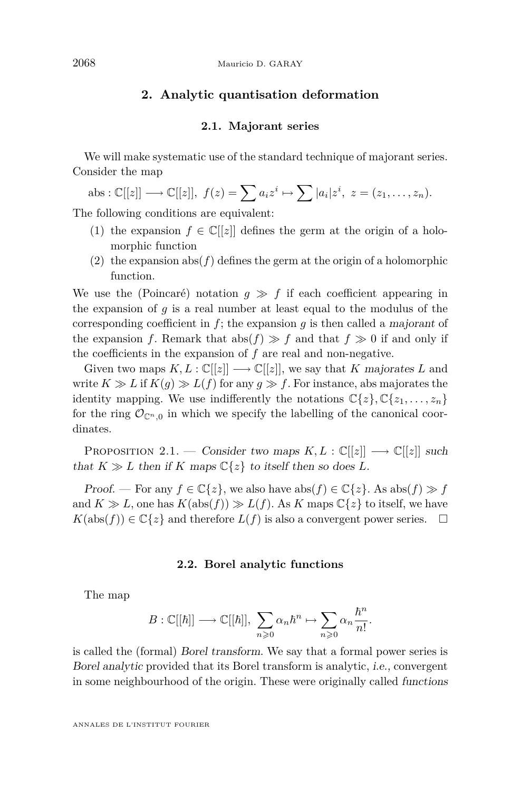#### **2. Analytic quantisation deformation**

#### **2.1. Majorant series**

We will make systematic use of the standard technique of majorant series. Consider the map

$$
abs: \mathbb{C}[[z]] \longrightarrow \mathbb{C}[[z]], f(z) = \sum a_i z^i \mapsto \sum |a_i| z^i, z = (z_1, \dots, z_n).
$$

The following conditions are equivalent:

- (1) the expansion  $f \in \mathbb{C}[[z]]$  defines the germ at the origin of a holomorphic function
- (2) the expansion  $abs(f)$  defines the germ at the origin of a holomorphic function.

We use the (Poincaré) notation  $q \gg f$  if each coefficient appearing in the expansion of *g* is a real number at least equal to the modulus of the corresponding coefficient in *f*; the expansion *g* is then called a majorant of the expansion *f*. Remark that abs( $f$ )  $\gg$  *f* and that  $f \gg 0$  if and only if the coefficients in the expansion of *f* are real and non-negative.

Given two maps  $K, L : \mathbb{C}[[z]] \longrightarrow \mathbb{C}[[z]]$ , we say that *K* majorates *L* and write  $K \gg L$  if  $K(g) \gg L(f)$  for any  $g \gg f$ . For instance, abs majorates the identity mapping. We use indifferently the notations  $\mathbb{C}\lbrace z \rbrace, \mathbb{C}\lbrace z_1, \ldots, z_n \rbrace$ for the ring  $\mathcal{O}_{\mathbb{C}^n,0}$  in which we specify the labelling of the canonical coordinates.

PROPOSITION 2.1. — Consider two maps  $K, L : \mathbb{C}[[z]] \longrightarrow \mathbb{C}[[z]]$  such that  $K \gg L$  then if K maps  $\mathbb{C}\{z\}$  to itself then so does L.

Proof. — For any  $f \in \mathbb{C}\{z\}$ , we also have abs( $f$ )  $\in \mathbb{C}\{z\}$ . As abs( $f$ )  $\gg f$ and  $K \gg L$ , one has  $K(\text{abs}(f)) \gg L(f)$ . As  $K$  maps  $\mathbb{C}\lbrace z \rbrace$  to itself, we have  $K(\text{abs}(f)) \in \mathbb{C}\{z\}$  and therefore  $L(f)$  is also a convergent power series.  $\Box$ 

#### **2.2. Borel analytic functions**

The map

$$
B: \mathbb{C}[[\hbar]] \longrightarrow \mathbb{C}[[\hbar]], \sum_{n\geqslant 0} \alpha_n \hbar^n \mapsto \sum_{n\geqslant 0} \alpha_n \frac{\hbar^n}{n!}.
$$

is called the (formal) Borel transform. We say that a formal power series is Borel analytic provided that its Borel transform is analytic, i.e., convergent in some neighbourhood of the origin. These were originally called functions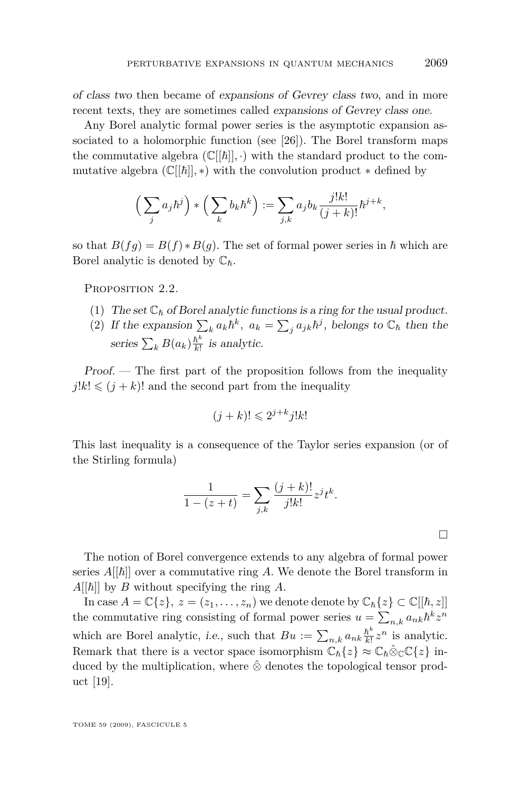<span id="page-9-0"></span>of class two then became of expansions of Gevrey class two, and in more recent texts, they are sometimes called expansions of Gevrey class one.

Any Borel analytic formal power series is the asymptotic expansion as-sociated to a holomorphic function (see [\[26\]](#page-40-0)). The Borel transform maps the commutative algebra  $(\mathbb{C}[[\hbar]], \cdot)$  with the standard product to the commutative algebra  $(\mathbb{C}[[\hbar]],*)$  with the convolution product  $*$  defined by

$$
\left(\sum_j a_j \hbar^j\right) * \left(\sum_k b_k \hbar^k\right) := \sum_{j,k} a_j b_k \frac{j! k!}{(j+k)!} \hbar^{j+k},
$$

so that  $B(fg) = B(f) * B(g)$ . The set of formal power series in  $\hbar$  which are Borel analytic is denoted by  $\mathbb{C}_{\hbar}$ .

PROPOSITION 2.2.

- (1) The set  $\mathbb{C}_{\hbar}$  of Borel analytic functions is a ring for the usual product.
- (2) If the expansion  $\sum_{k} a_k \hbar^k$ ,  $a_k = \sum_{j} a_{jk} \hbar^j$ , belongs to  $\mathbb{C}_{\hbar}$  then the series  $\sum_k B(a_k) \frac{\hbar^k}{k!}$  $\frac{h^{\circ}}{k!}$  is analytic.

Proof. — The first part of the proposition follows from the inequality  $j!k! \leq (j+k)!$  and the second part from the inequality

$$
(j+k)! \leq 2^{j+k}j!k!
$$

This last inequality is a consequence of the Taylor series expansion (or of the Stirling formula)

$$
\frac{1}{1-(z+t)} = \sum_{j,k} \frac{(j+k)!}{j!k!} z^j t^k.
$$

The notion of Borel convergence extends to any algebra of formal power series  $A[[\hbar]]$  over a commutative ring A. We denote the Borel transform in  $A[[\hbar]]$  by *B* without specifying the ring *A*.

In case  $A = \mathbb{C}\{z\}$ ,  $z = (z_1, \ldots, z_n)$  we denote denote by  $\mathbb{C}_{\hbar}\{z\} \subset \mathbb{C}[[\hbar, z]]$ the commutative ring consisting of formal power series  $u = \sum_{n,k} a_{nk} \hbar^k z^n$ which are Borel analytic, *i.e.*, such that  $Bu := \sum_{n,k} a_{nk} \frac{\hbar^k}{k!}$  $\frac{\hbar^k}{k!} z^n$  is analytic. Remark that there is a vector space isomorphism  $\mathbb{C}_{\hbar} \{z\} \approx \mathbb{C}_{\hbar} \hat{\otimes}_{\mathbb{C}} \mathbb{C} \{z\}$  induced by the multiplication, where *⊗*ˆ denotes the topological tensor product [\[19\]](#page-40-0).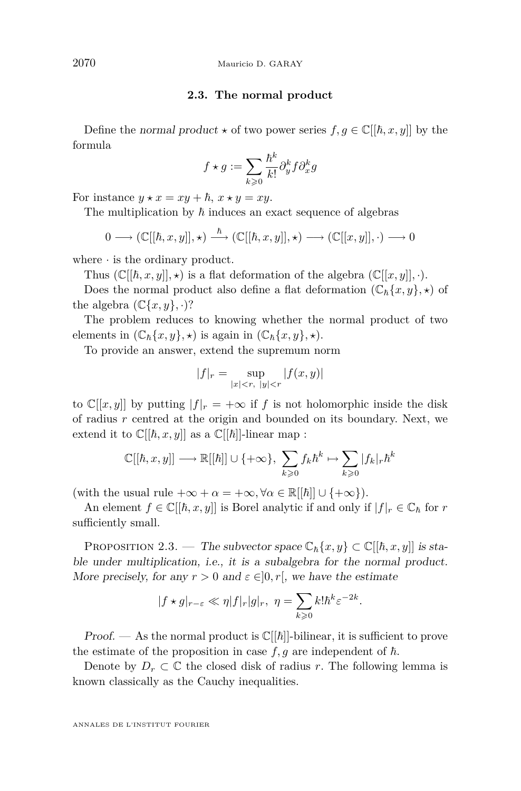#### **2.3. The normal product**

<span id="page-10-0"></span>Define the normal product  $\star$  of two power series  $f, g \in \mathbb{C}[[\hbar, x, y]]$  by the formula

$$
f \star g := \sum_{k \geqslant 0} \frac{\hbar^k}{k!} \partial_y^k f \partial_x^k g
$$

For instance  $y \star x = xy + \hbar, x \star y = xy$ .

The multiplication by  $\hbar$  induces an exact sequence of algebras

$$
0 \longrightarrow (\mathbb{C}[[\hbar, x, y]], \star) \stackrel{\hbar}{\longrightarrow} (\mathbb{C}[[\hbar, x, y]], \star) \longrightarrow (\mathbb{C}[[x, y]], \cdot) \longrightarrow 0
$$

where *·* is the ordinary product.

Thus  $(\mathbb{C}[[\hbar, x, y]], \star)$  is a flat deformation of the algebra  $(\mathbb{C}[[x, y]], \cdot)$ .

Does the normal product also define a flat deformation  $(\mathbb{C}_{\hbar}\{x,y\},\star)$  of the algebra  $(\mathbb{C}\{x,y\},\cdot)$ ?

The problem reduces to knowing whether the normal product of two elements in  $(\mathbb{C}_{\hbar}\{x,y\},\star)$  is again in  $(\mathbb{C}_{\hbar}\{x,y\},\star)$ .

To provide an answer, extend the supremum norm

$$
|f|_{r} = \sup_{|x| < r, \ |y| < r} |f(x, y)|
$$

to  $\mathbb{C}[[x,y]]$  by putting  $|f|_r = +\infty$  if *f* is not holomorphic inside the disk of radius *r* centred at the origin and bounded on its boundary. Next, we extend it to  $\mathbb{C}[[\hbar, x, y]]$  as a  $\mathbb{C}[[\hbar]]$ -linear map :

$$
\mathbb{C}[[\hbar,x,y]]\longrightarrow \mathbb{R}[[\hbar]]\cup\{+\infty\},\ \sum_{k\geqslant 0} f_k\hbar^k\mapsto \sum_{k\geqslant 0} |f_k|_r\hbar^k
$$

(with the usual rule  $+\infty + \alpha = +\infty, \forall \alpha \in \mathbb{R}[[\hbar]] \cup \{+\infty\}$ ).

An element  $f \in \mathbb{C}[[\hbar, x, y]]$  is Borel analytic if and only if  $|f|_r \in \mathbb{C}_{\hbar}$  for r sufficiently small.

PROPOSITION 2.3. — The subvector space  $\mathbb{C}_{\hbar}\{x,y\} \subset \mathbb{C}[[\hbar, x, y]]$  is stable under multiplication, i.e., it is a subalgebra for the normal product. More precisely, for any  $r > 0$  and  $\varepsilon \in ]0, r[$ , we have the estimate

$$
|f \star g|_{r-\varepsilon} \ll \eta |f|_r |g|_r, \ \eta = \sum_{k \geq 0} k! \hbar^k \varepsilon^{-2k}
$$

*.*

Proof. — As the normal product is  $\mathbb{C}[[\hbar]]$ -bilinear, it is sufficient to prove the estimate of the proposition in case  $f, g$  are independent of  $\hbar$ .

Denote by  $D_r \subset \mathbb{C}$  the closed disk of radius *r*. The following lemma is known classically as the Cauchy inequalities.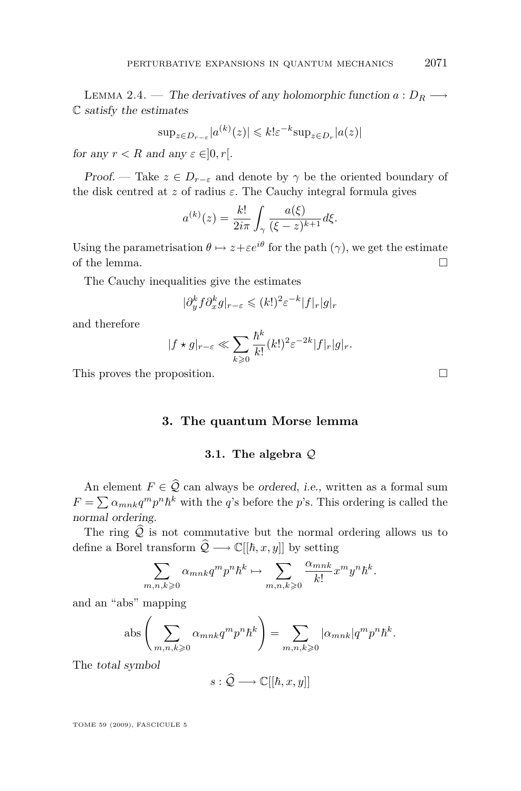LEMMA 2.4. — The derivatives of any holomorphic function  $a: D_R \longrightarrow$ C satisfy the estimates

$$
\sup_{z \in D_{r-\varepsilon}} |a^{(k)}(z)| \leq k! \varepsilon^{-k} \sup_{z \in D_r} |a(z)|
$$

for any  $r < R$  and any  $\varepsilon \in ]0, r[$ .

Proof. — Take  $z \in D_{r-\varepsilon}$  and denote by  $\gamma$  be the oriented boundary of the disk centred at  $z$  of radius  $\varepsilon$ . The Cauchy integral formula gives

$$
a^{(k)}(z) = \frac{k!}{2i\pi} \int_{\gamma} \frac{a(\xi)}{(\xi - z)^{k+1}} d\xi.
$$

Using the parametrisation  $\theta \mapsto z + \varepsilon e^{i\theta}$  for the path ( $\gamma$ ), we get the estimate of the lemma.  $\Box$ 

The Cauchy inequalities give the estimates

$$
|\partial_y^k f \partial_x^k g|_{r-\varepsilon} \leq (k!)^2 \varepsilon^{-k} |f|_r |g|_r
$$

and therefore

$$
|f \star g|_{r-\varepsilon} \ll \sum_{k \geq 0} \frac{\hbar^k}{k!} (k!)^2 \varepsilon^{-2k} |f|_r |g|_r.
$$

This proves the proposition.

**3. The quantum Morse lemma**

#### **3.1. The algebra** *Q*

An element  $F \in \hat{Q}$  can always be ordered, i.e., written as a formal sum  $F = \sum \alpha_{mnk} q^m p^n \hbar^k$  with the *q*'s before the *p*'s. This ordering is called the normal ordering.

The ring  $\hat{Q}$  is not commutative but the normal ordering allows us to define a Borel transform  $\hat{Q} \longrightarrow \mathbb{C}[[\hbar, x, y]]$  by setting

$$
\sum_{m,n,k\geqslant 0} \alpha_{mnk} q^m p^n \hbar^k \mapsto \sum_{m,n,k\geqslant 0} \frac{\alpha_{mnk}}{k!} x^m y^n \hbar^k.
$$

and an "abs" mapping

abs 
$$
\left(\sum_{m,n,k\geqslant 0} \alpha_{mnk} q^m p^n h^k\right) = \sum_{m,n,k\geqslant 0} |\alpha_{mnk}| q^m p^n h^k.
$$

The total symbol

$$
s:\widehat{\mathcal{Q}}\longrightarrow\mathbb{C}[[\hbar,x,y]]
$$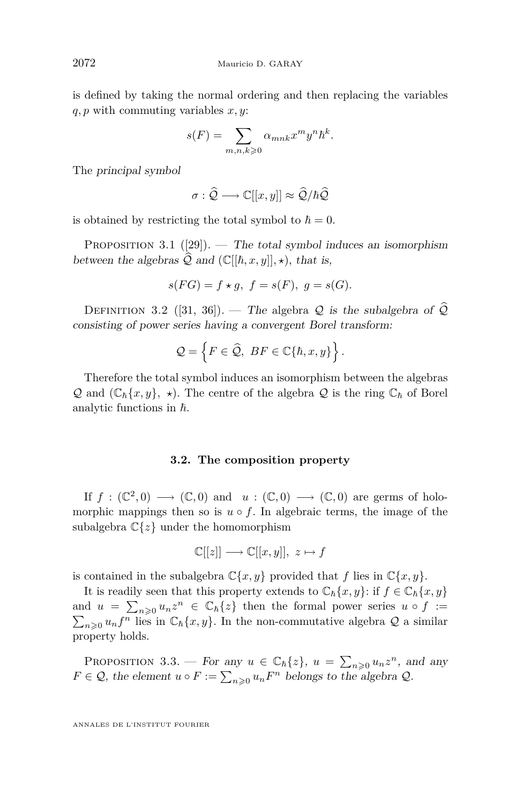<span id="page-12-0"></span>is defined by taking the normal ordering and then replacing the variables *q, p* with commuting variables *x, y*:

$$
s(F) = \sum_{m,n,k \geqslant 0} \alpha_{mnk} x^m y^n \hbar^k.
$$

The principal symbol

$$
\sigma : \widehat{\mathcal{Q}} \longrightarrow \mathbb{C}[[x, y]] \approx \widehat{\mathcal{Q}}/\hbar \widehat{\mathcal{Q}}
$$

is obtained by restricting the total symbol to  $\hbar = 0$ .

PROPOSITION 3.1 ([\[29\]](#page-41-0)). — The total symbol induces an isomorphism between the algebras  $\widehat{Q}$  and  $(\mathbb{C}[[\hbar, x, y]], \star)$ *, that is,* 

$$
s(FG)=f\star g,\ f=s(F),\ g=s(G).
$$

DEFINITION 3.2 ([\[31,](#page-41-0) [36\]](#page-41-0)). — The algebra  $Q$  is the subalgebra of  $Q$ consisting of power series having a convergent Borel transform:

$$
\mathcal{Q} = \left\{ F \in \widehat{\mathcal{Q}}, \; BF \in \mathbb{C} \{ \hbar, x, y \} \right\}.
$$

Therefore the total symbol induces an isomorphism between the algebras *Q* and  $(\mathbb{C}_{\hbar}\{x,y\},\star)$ . The centre of the algebra *Q* is the ring  $\mathbb{C}_{\hbar}$  of Borel analytic functions in  $\hbar$ .

#### **3.2. The composition property**

If  $f: (\mathbb{C}^2, 0) \longrightarrow (\mathbb{C}, 0)$  and  $u: (\mathbb{C}, 0) \longrightarrow (\mathbb{C}, 0)$  are germs of holomorphic mappings then so is  $u \circ f$ . In algebraic terms, the image of the subalgebra C*{z}* under the homomorphism

$$
\mathbb{C}[[z]] \longrightarrow \mathbb{C}[[x,y]], \ z \mapsto f
$$

is contained in the subalgebra  $\mathbb{C}\{x, y\}$  provided that *f* lies in  $\mathbb{C}\{x, y\}$ .

It is readily seen that this property extends to  $\mathbb{C}_{\hbar}\{x,y\}$ : if  $f \in \mathbb{C}_{\hbar}\{x,y\}$ and  $u = \sum_{n\geqslant 0} u_n z^n \in \mathbb{C}_h\{z\}$  then the formal power series  $u \circ f :=$  $\sum_{n\geqslant 0} u_n f^n$  lies in  $\mathbb{C}_h\{x, y\}$ . In the non-commutative algebra  $\mathcal Q$  a similar property holds.

PROPOSITION 3.3. — For any  $u \in \mathbb{C}_h\{z\}$ ,  $u = \sum_{n\geqslant 0} u_n z^n$ , and any *F* ∈ *Q*, the element *u* ◦ *F* :=  $\sum_{n\geqslant0} u_n F^n$  belongs to the algebra *Q*.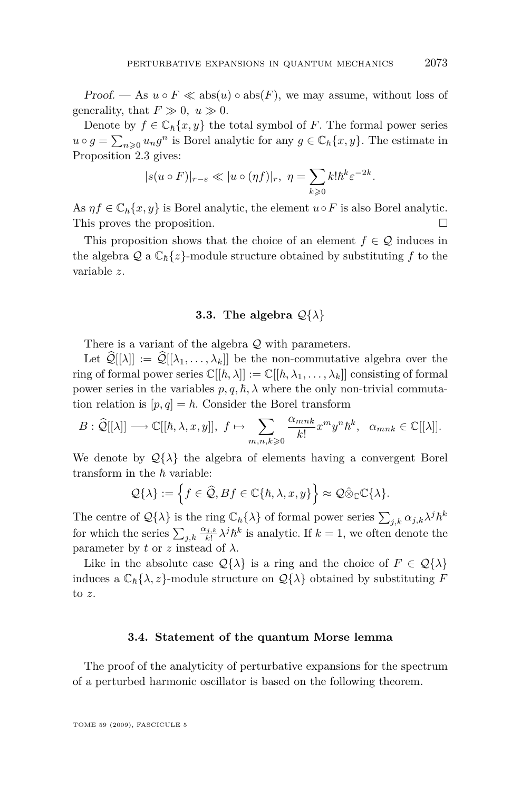<span id="page-13-0"></span>Proof. — As  $u \circ F \ll abs(u) \circ abs(F)$ , we may assume, without loss of generality, that  $F \gg 0$ ,  $u \gg 0$ .

Denote by  $f \in \mathbb{C}_{\hbar}\{x,y\}$  the total symbol of *F*. The formal power series  $u \circ g = \sum_{n \geq 0} u_n g^n$  is Borel analytic for any  $g \in \mathbb{C}_h\{x, y\}$ . The estimate in Proposition [2.3](#page-10-0) gives:

$$
|s(u \circ F)|_{r-\varepsilon} \ll |u \circ (\eta f)|_r, \ \eta = \sum_{k \geq 0} k! \hbar^k \varepsilon^{-2k}.
$$

As  $\eta f \in \mathbb{C}_{\hbar}\{x,y\}$  is Borel analytic, the element  $u \circ F$  is also Borel analytic. This proves the proposition.

This proposition shows that the choice of an element  $f \in \mathcal{Q}$  induces in the algebra  $\mathcal{Q}$  a  $\mathbb{C}_{\hbar}\{z\}$ -module structure obtained by substituting f to the variable *z*.

#### **3.3.** The algebra  $\mathcal{Q}\{\lambda\}$

There is a variant of the algebra *Q* with parameters.

Let  $\widehat{\mathcal{Q}}[[\lambda]] := \widehat{\mathcal{Q}}[[\lambda_1, \ldots, \lambda_k]]$  be the non-commutative algebra over the ring of formal power series  $\mathbb{C}[[\hbar,\lambda]] := \mathbb{C}[[\hbar,\lambda_1,\ldots,\lambda_k]]$  consisting of formal power series in the variables  $p, q, \hbar, \lambda$  where the only non-trivial commutation relation is  $[p, q] = \hbar$ . Consider the Borel transform

$$
B: \widehat{\mathcal{Q}}[[\lambda]] \longrightarrow \mathbb{C}[[\hbar,\lambda,x,y]], f \mapsto \sum_{m,n,k \geqslant 0} \frac{\alpha_{mnk}}{k!} x^m y^n \hbar^k, \ \alpha_{mnk} \in \mathbb{C}[[\lambda]].
$$

We denote by  $\mathcal{Q}\{\lambda\}$  the algebra of elements having a convergent Borel transform in the  $\hbar$  variable:

$$
\mathcal{Q}\{\lambda\} := \left\{f \in \widehat{\mathcal{Q}}, Bf \in \mathbb{C}\{\hbar, \lambda, x, y\}\right\} \approx \mathcal{Q}\hat{\otimes}_{\mathbb{C}}\mathbb{C}\{\lambda\}.
$$

The centre of  $\mathcal{Q}\{\lambda\}$  is the ring  $\mathbb{C}_{\hbar}\{\lambda\}$  of formal power series  $\sum_{j,k} \alpha_{j,k} \lambda^j \hbar^k$ for which the series  $\sum_{j,k} \frac{\alpha_{j,k}}{k!} \lambda^j \hbar^k$  is analytic. If  $k = 1$ , we often denote the parameter by *t* or *z* instead of  $\lambda$ .

Like in the absolute case  $\mathcal{Q}\{\lambda\}$  is a ring and the choice of  $F \in \mathcal{Q}\{\lambda\}$ induces a  $\mathbb{C}_{\hbar} \{\lambda, z\}$ -module structure on  $\mathcal{Q} \{\lambda\}$  obtained by substituting *F* to *z*.

#### **3.4. Statement of the quantum Morse lemma**

The proof of the analyticity of perturbative expansions for the spectrum of a perturbed harmonic oscillator is based on the following theorem.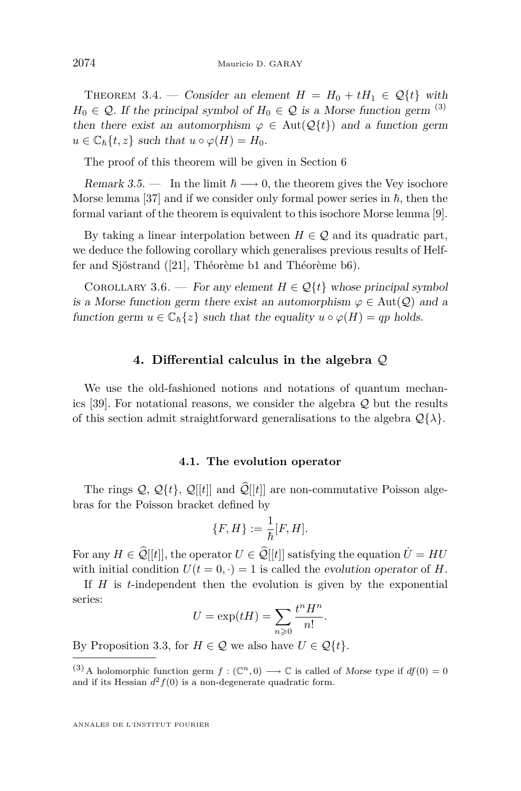<span id="page-14-0"></span>THEOREM 3.4. — Consider an element  $H = H_0 + tH_1 \in \mathcal{Q}{t}$  with  $H_0 \in \mathcal{Q}$ . If the principal symbol of  $H_0 \in \mathcal{Q}$  is a Morse function germ <sup>(3)</sup> then there exist an automorphism  $\varphi \in Aut(Q\{t\})$  and a function germ  $u \in \mathbb{C}_{\hbar} \{t, z\}$  such that  $u \circ \varphi(H) = H_0$ .

The proof of this theorem will be given in Section [6](#page-26-0)

Remark 3.5. — In the limit  $\hbar \longrightarrow 0$ , the theorem gives the Vey isochore Morse lemma [\[37\]](#page-41-0) and if we consider only formal power series in  $\hbar$ , then the formal variant of the theorem is equivalent to this isochore Morse lemma [\[9\]](#page-40-0).

By taking a linear interpolation between  $H \in \mathcal{Q}$  and its quadratic part, we deduce the following corollary which generalises previous results of Helffer and Sjöstrand ([\[21\]](#page-40-0), Théorème b1 and Théorème b6).

COROLLARY 3.6. — For any element  $H \in \mathcal{Q}{t}$  whose principal symbol is a Morse function germ there exist an automorphism  $\varphi \in Aut(\mathcal{Q})$  and a function germ  $u \in \mathbb{C}_{\hbar} \{z\}$  such that the equality  $u \circ \varphi(H) = qp$  holds.

#### **4. Differential calculus in the algebra** *Q*

We use the old-fashioned notions and notations of quantum mechanics [\[39\]](#page-41-0). For notational reasons, we consider the algebra *Q* but the results of this section admit straightforward generalisations to the algebra  $\mathcal{Q}\{\lambda\}$ .

#### **4.1. The evolution operator**

The rings  $\mathcal{Q}, \mathcal{Q}{t}$ ,  $\mathcal{Q}{t}$ ,  $\mathcal{Q}{t}$  and  $\mathcal{Q}{t}$  are non-commutative Poisson algebras for the Poisson bracket defined by

$$
\{F,H\}:=\frac{1}{\hbar}[F,H].
$$

For any  $H \in \hat{\mathcal{Q}}[[t]]$ , the operator  $U \in \hat{\mathcal{Q}}[[t]]$  satisfying the equation  $\dot{U} = HU$ with initial condition  $U(t=0,\cdot)=1$  is called the evolution operator of *H*.

If *H* is *t*-independent then the evolution is given by the exponential series:

$$
U = \exp(tH) = \sum_{n \geq 0} \frac{t^n H^n}{n!}.
$$

By Proposition [3.3,](#page-12-0) for  $H \in \mathcal{Q}$  we also have  $U \in \mathcal{Q}{t}$ .

<sup>(3)</sup> A holomorphic function germ  $f : (\mathbb{C}^n, 0) \longrightarrow \mathbb{C}$  is called of Morse type if  $df(0) = 0$ and if its Hessian  $d^2 f(0)$  is a non-degenerate quadratic form.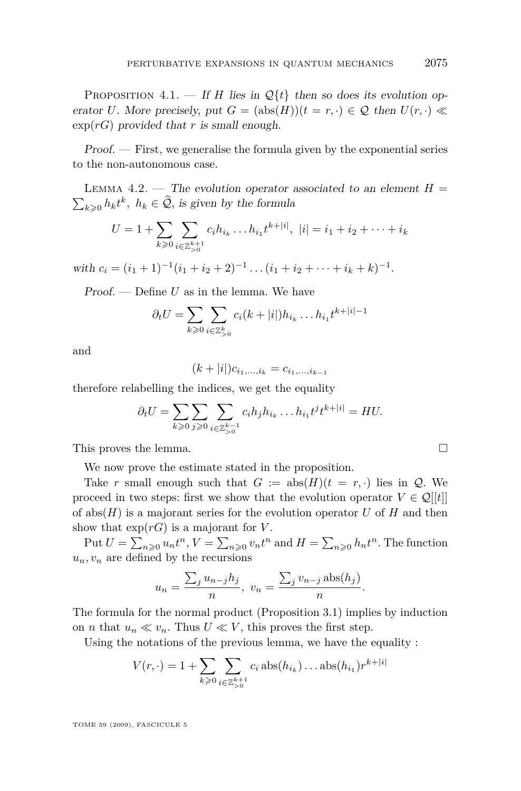PROPOSITION 4.1. — If *H* lies in  $\mathcal{Q}\{t\}$  then so does its evolution operator *U*. More precisely, put  $G = (\text{abs}(H))(t = r, \cdot) \in \mathcal{Q}$  then  $U(r, \cdot) \ll$  $\exp(rG)$  provided that *r* is small enough.

Proof. — First, we generalise the formula given by the exponential series to the non-autonomous case.

LEMMA 4.2. — The evolution operator associated to an element  $H =$  $\sum_{k\geqslant 0} h_k t^k$ ,  $h_k \in \mathcal{Q}$ , is given by the formula

$$
U = 1 + \sum_{k \geq 0} \sum_{\substack{i \in \mathbb{Z}_{\geq 0}^{k+1} \\ i \neq j}} c_i h_{i_k} \dots h_{i_1} t^{k+|i|}, \ |i| = i_1 + i_2 + \dots + i_k
$$

with  $c_i = (i_1 + 1)^{-1}(i_1 + i_2 + 2)^{-1} \dots (i_1 + i_2 + \dots + i_k + k)^{-1}$ .

Proof. — Define *U* as in the lemma. We have

$$
\partial_t U = \sum_{k \geq 0} \sum_{i \in \mathbb{Z}_{\geq 0}^k} c_i (k + |i|) h_{i_k} \dots h_{i_1} t^{k + |i| - 1}
$$

and

$$
(k+|i|)c_{i_1,\ldots,i_k}=c_{i_1,\ldots,i_{k-1}}
$$

therefore relabelling the indices, we get the equality

$$
\partial_t U = \sum_{k \geqslant 0} \sum_{j \geqslant 0} \sum_{\substack{i \in \mathbb{Z}_{\geqslant 0}^{k-1} }} c_i h_j h_{i_k} \dots h_{i_1} t^j t^{k+|i|} = H U.
$$

This proves the lemma.

We now prove the estimate stated in the proposition.

Take *r* small enough such that  $G := abs(H)(t = r, \cdot)$  lies in *Q*. We proceed in two steps: first we show that the evolution operator  $V \in \mathcal{Q}[[t]]$ of abs(*H*) is a majorant series for the evolution operator *U* of *H* and then show that  $\exp(rG)$  is a majorant for *V*.

Put  $U = \sum_{n\geqslant 0} u_n t^n$ ,  $V = \sum_{n\geqslant 0} v_n t^n$  and  $H = \sum_{n\geqslant 0} h_n t^n$ . The function  $u_n, v_n$  are defined by the recursions

$$
u_n = \frac{\sum_j u_{n-j} h_j}{n}, \ v_n = \frac{\sum_j v_{n-j} \operatorname{abs}(h_j)}{n}.
$$

The formula for the normal product (Proposition [3.1\)](#page-12-0) implies by induction on *n* that  $u_n \ll v_n$ . Thus  $U \ll V$ , this proves the first step.

Using the notations of the previous lemma, we have the equality :

$$
V(r,\cdot) = 1 + \sum_{k \geq 0} \sum_{i \in \mathbb{Z}_{>0}^{k+1}} c_i \operatorname{abs}(h_{i_k}) \dots \operatorname{abs}(h_{i_1}) r^{k+|i|}
$$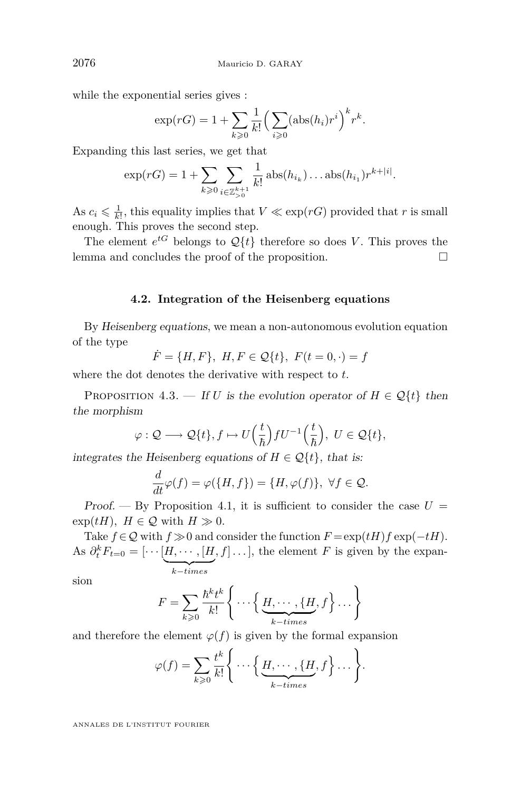<span id="page-16-0"></span>while the exponential series gives :

$$
\exp(rG) = 1 + \sum_{k \geqslant 0} \frac{1}{k!} \Big( \sum_{i \geqslant 0} (\operatorname{abs}(h_i) r^i \Big)^k r^k.
$$

Expanding this last series, we get that

$$
\exp(rG) = 1 + \sum_{k \geq 0} \sum_{i \in \mathbb{Z}_{>0}^{k+1}} \frac{1}{k!} \operatorname{abs}(h_{i_k}) \dots \operatorname{abs}(h_{i_1}) r^{k+|i|}.
$$

As  $c_i \leq \frac{1}{k!}$ , this equality implies that  $V \ll \exp(rG)$  provided that *r* is small enough. This proves the second step.

The element  $e^{tG}$  belongs to  $\mathcal{Q}{t}$  therefore so does *V*. This proves the lemma and concludes the proof of the proposition.  $\Box$ 

#### **4.2. Integration of the Heisenberg equations**

By Heisenberg equations, we mean a non-autonomous evolution equation of the type

$$
\dot{F} = \{H, F\}, H, F \in \mathcal{Q}{t}, F(t = 0, \cdot) = f
$$

where the dot denotes the derivative with respect to *t*.

PROPOSITION 4.3. — If *U* is the evolution operator of  $H \in \mathcal{Q}{t}$  then the morphism

$$
\varphi: \mathcal{Q} \longrightarrow \mathcal{Q}{t}, f \mapsto U\Big(\frac{t}{\hbar}\Big) fU^{-1}\Big(\frac{t}{\hbar}\Big), \ U \in \mathcal{Q}{t},
$$

integrates the Heisenberg equations of  $H \in \mathcal{Q}{t}$ , that is:

$$
\frac{d}{dt}\varphi(f) = \varphi(\{H, f\}) = \{H, \varphi(f)\}, \ \forall f \in \mathcal{Q}.
$$

Proof. — By Proposition [4.1,](#page-14-0) it is sufficient to consider the case  $U =$  $\exp(tH)$ ,  $H \in \mathcal{Q}$  with  $H \gg 0$ .

Take  $f \in \mathcal{Q}$  with  $f \gg 0$  and consider the function  $F = \exp(tH)f \exp(-tH)$ . As  $\partial_t^k F_{t=0} = [\cdots [H, \cdots, [H, f] \dots]$ , the element *F* is given by the expan-| {z } *k−times*

sion

$$
F = \sum_{k \geqslant 0} \frac{\hbar^k t^k}{k!} \left\{ \cdots \left\{ \underbrace{H, \cdots, \{H, f\}}_{k-times}, f \right\} \cdots \right\}
$$

and therefore the element  $\varphi(f)$  is given by the formal expansion

$$
\varphi(f) = \sum_{k \geqslant 0} \frac{t^k}{k!} \Bigg\{ \cdots \Big\{ \underbrace{H, \cdots, \{H, f\}}_{k-times}, f \Big\} \cdots \Bigg\}.
$$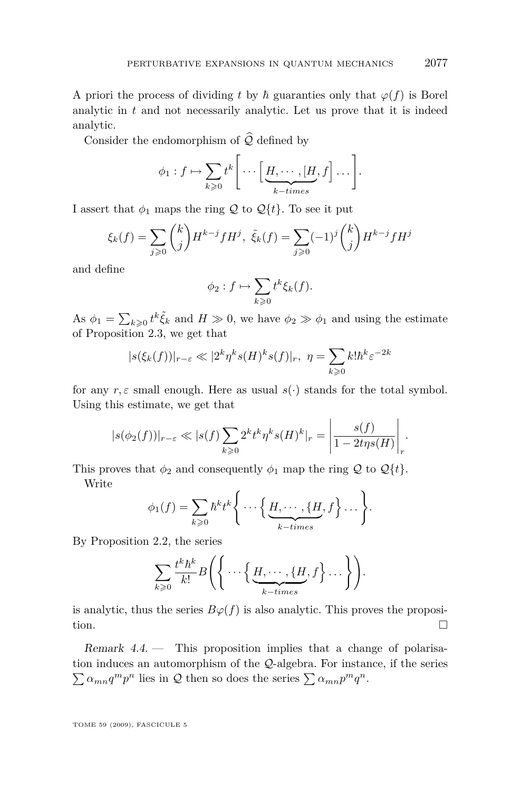A priori the process of dividing *t* by  $\hbar$  guaranties only that  $\varphi(f)$  is Borel analytic in  $t$  and not necessarily analytic. Let us prove that it is indeed analytic.

Consider the endomorphism of  $\widehat{Q}$  defined by

$$
\phi_1: f \mapsto \sum_{k \geqslant 0} t^k \Bigg[ \cdots \Bigg[ \underbrace{H, \cdots, [H]}_{k-times}, f \Bigg] \cdots \Bigg].
$$

I assert that  $\phi_1$  maps the ring  $\mathcal Q$  to  $\mathcal Q\{t\}$ . To see it put

$$
\xi_k(f) = \sum_{j \ge 0} {k \choose j} H^{k-j} f H^j, \ \tilde{\xi}_k(f) = \sum_{j \ge 0} (-1)^j {k \choose j} H^{k-j} f H^j
$$

and define

$$
\phi_2: f \mapsto \sum_{k \geqslant 0} t^k \xi_k(f).
$$

As  $\phi_1 = \sum_{k \geq 0} t^k \tilde{\xi}_k$  and  $H \gg 0$ , we have  $\phi_2 \gg \phi_1$  and using the estimate of Proposition [2.3,](#page-10-0) we get that

$$
|s(\xi_k(f))|_{r-\varepsilon} \ll |2^k \eta^k s(H)^k s(f)|_r, \ \eta = \sum_{k \ge 0} k! \hbar^k \varepsilon^{-2k}
$$

for any  $r, \varepsilon$  small enough. Here as usual  $s(\cdot)$  stands for the total symbol. Using this estimate, we get that

$$
|s(\phi_2(f))|_{r-\varepsilon} \ll |s(f)\sum_{k\geqslant 0} 2^k t^k \eta^k s(H)^k|_r = \left|\frac{s(f)}{1-2t\eta s(H)}\right|_r.
$$

This proves that  $\phi_2$  and consequently  $\phi_1$  map the ring  $\mathcal Q$  to  $\mathcal Q\{t\}$ .

Write

$$
\phi_1(f) = \sum_{k \geq 0} \hbar^k t^k \Bigg\{ \cdots \Big\{ \underbrace{H, \cdots, \{H, f\}}_{k-times}, f \Big\} \cdots \Bigg\}.
$$

By Proposition [2.2,](#page-9-0) the series

$$
\sum_{k\geqslant 0} \frac{t^k\hbar^k}{k!} B\left(\left\{\dots \left\{\underbrace{H,\dots,\{H}_{k-times},f\}_{\dots}\right\}\right)\right).
$$

is analytic, thus the series  $B\varphi(f)$  is also analytic. This proves the proposition.

Remark 4.4. — This proposition implies that a change of polarisation induces an automorphism of the *Q*-algebra. For instance, if the series  $\sum \alpha_{mn} q^m p^n$  lies in *Q* then so does the series  $\sum \alpha_{mn} p^m q^n$ .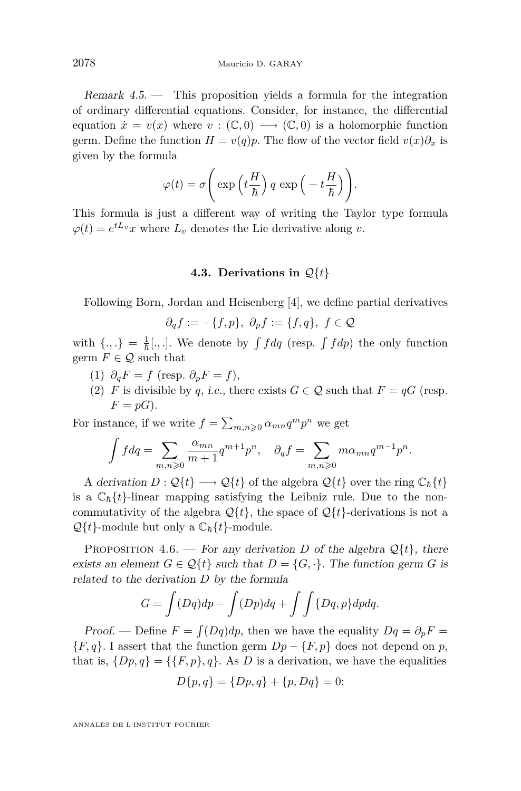<span id="page-18-0"></span>Remark 4.5. — This proposition yields a formula for the integration of ordinary differential equations. Consider, for instance, the differential equation  $\dot{x} = v(x)$  where  $v : (\mathbb{C}, 0) \longrightarrow (\mathbb{C}, 0)$  is a holomorphic function germ. Define the function  $H = v(q)p$ . The flow of the vector field  $v(x)\partial_x$  is given by the formula

$$
\varphi(t) = \sigma\left(\exp\left(t\frac{H}{\hbar}\right)q\exp\left(-t\frac{H}{\hbar}\right)\right).
$$

This formula is just a different way of writing the Taylor type formula  $\varphi(t) = e^{tL_v}x$  where  $L_v$  denotes the Lie derivative along *v*.

#### **4.3. Derivations in** *Q{t}*

Following Born, Jordan and Heisenberg [\[4\]](#page-39-0), we define partial derivatives

$$
\partial_q f := -\{f, p\}, \ \partial_p f := \{f, q\}, \ f \in \mathcal{Q}
$$

with  $\{.,.\} = \frac{1}{\hbar}[,.]$ . We denote by  $\int f dq$  (resp.  $\int f dp$ ) the only function germ  $F \in \mathcal{Q}$  such that

- $(1)$   $\partial_q F = f$  (resp.  $\partial_p F = f$ ),
- (2) *F* is divisible by *q*, i.e., there exists  $G \in \mathcal{Q}$  such that  $F = qG$  (resp.  $F = pG$ ).

For instance, if we write  $f = \sum_{m,n\geqslant 0} \alpha_{mn} q^m p^n$  we get

$$
\int f dq = \sum_{m,n\geqslant 0} \frac{\alpha_{mn}}{m+1} q^{m+1} p^n, \quad \partial_q f = \sum_{m,n\geqslant 0} m \alpha_{mn} q^{m-1} p^n.
$$

A derivation  $D: \mathcal{Q}{t} \longrightarrow \mathcal{Q}{t}$  of the algebra  $\mathcal{Q}{t}$  over the ring  $\mathbb{C}_{\hbar}{t}$ is a  $\mathbb{C}_{\hbar} \{t\}$ -linear mapping satisfying the Leibniz rule. Due to the noncommutativity of the algebra  $\mathcal{Q}{t}$ , the space of  $\mathcal{Q}{t}$ -derivations is not a  $Q\{t\}$ -module but only a  $\mathbb{C}_{\hbar}\{t\}$ -module.

PROPOSITION 4.6. — For any derivation *D* of the algebra  $\mathcal{Q}{t}$ , there exists an element  $G \in \mathcal{Q}{t}$  such that  $D = {G, \cdot}$ . The function germ *G* is related to the derivation *D* by the formula

$$
G = \int (Dq)dp - \int (Dp)dq + \int \int \{Dq, p\}dpdq.
$$

Proof. — Define  $F = \int (Dq)dp$ , then we have the equality  $Dq = \partial_p F =$ *{F, q}*. I assert that the function germ  $Dp - {F, p}$  does not depend on *p*, that is,  $\{Dp, q\} = \{\{F, p\}, q\}$ . As *D* is a derivation, we have the equalities

$$
D\{p,q\} = \{Dp,q\} + \{p,Dq\} = 0;
$$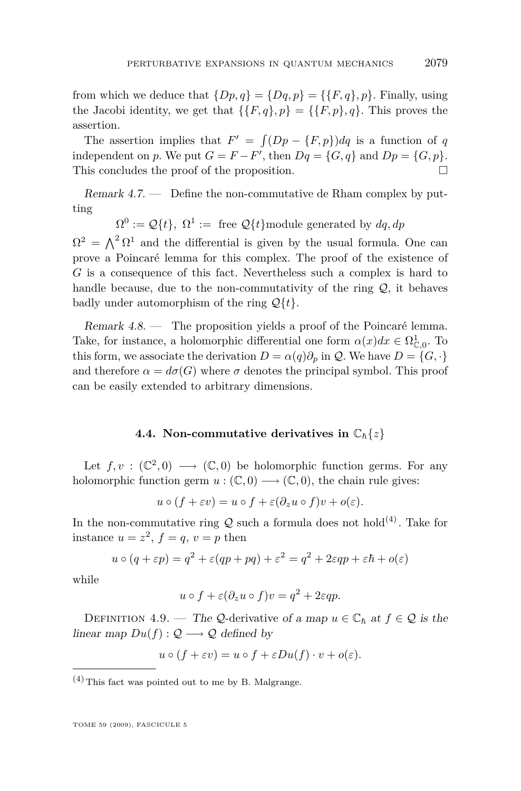from which we deduce that  $\{Dp, q\} = \{Dq, p\} = \{\{F, q\}, p\}$ . Finally, using the Jacobi identity, we get that  $\{\{F, q\}, p\} = \{\{F, p\}, q\}$ . This proves the assertion.

The assertion implies that  $F' = \int (Dp - \{F, p\}) dq$  is a function of *q* independent on *p*. We put  $G = F - F'$ , then  $Dq = \{G, q\}$  and  $Dp = \{G, p\}$ . This concludes the proof of the proposition.  $\Box$ 

Remark 4.7. — Define the non-commutative de Rham complex by putting

 $\Omega^0 := \mathcal{Q}{t}$ ,  $\Omega^1 := \text{free } \mathcal{Q}{t}$  module generated by  $dq, dp$ 

 $\Omega^2 = \Lambda^2 \Omega^1$  and the differential is given by the usual formula. One can prove a Poincaré lemma for this complex. The proof of the existence of *G* is a consequence of this fact. Nevertheless such a complex is hard to handle because, due to the non-commutativity of the ring *Q*, it behaves badly under automorphism of the ring *Q{t}*.

Remark 4.8. — The proposition yields a proof of the Poincaré lemma. Take, for instance, a holomorphic differential one form  $\alpha(x)dx \in \Omega_{\mathbb{C},0}^1$ . To this form, we associate the derivation  $D = \alpha(q)\partial_p$  in  $\mathcal{Q}$ . We have  $D = \{G, \cdot\}$ and therefore  $\alpha = d\sigma(G)$  where  $\sigma$  denotes the principal symbol. This proof can be easily extended to arbitrary dimensions.

#### **4.4. Non-commutative derivatives in**  $\mathbb{C}_{\hbar}\lbrace z \rbrace$

Let  $f, v : (\mathbb{C}^2, 0) \longrightarrow (\mathbb{C}, 0)$  be holomorphic function germs. For any holomorphic function germ  $u : (\mathbb{C}, 0) \longrightarrow (\mathbb{C}, 0)$ , the chain rule gives:

$$
u \circ (f + \varepsilon v) = u \circ f + \varepsilon (\partial_z u \circ f)v + o(\varepsilon).
$$

In the non-commutative ring  $Q$  such a formula does not hold<sup>(4)</sup>. Take for instance  $u = z^2$ ,  $f = q$ ,  $v = p$  then

$$
u \circ (q + \varepsilon p) = q^2 + \varepsilon (qp + pq) + \varepsilon^2 = q^2 + 2\varepsilon qp + \varepsilon \hbar + o(\varepsilon)
$$

while

$$
u \circ f + \varepsilon (\partial_z u \circ f)v = q^2 + 2\varepsilon qp.
$$

DEFINITION 4.9. — The *Q*-derivative of a map  $u \in \mathbb{C}_{\hbar}$  at  $f \in \mathcal{Q}$  is the linear map  $Du(f): \mathcal{Q} \longrightarrow \mathcal{Q}$  defined by

$$
u \circ (f + \varepsilon v) = u \circ f + \varepsilon Du(f) \cdot v + o(\varepsilon).
$$

 $(4)$  This fact was pointed out to me by B. Malgrange.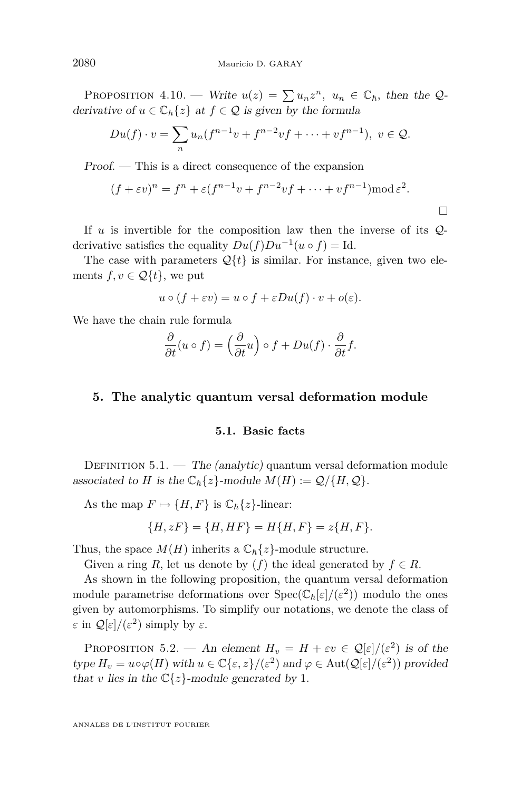PROPOSITION 4.10. — Write  $u(z) = \sum u_n z^n$ ,  $u_n \in \mathbb{C}_h$ , then the *Q*derivative of  $u \in \mathbb{C}_{\hbar}\{z\}$  at  $f \in \mathcal{Q}$  is given by the formula

$$
Du(f) \cdot v = \sum_{n} u_n(f^{n-1}v + f^{n-2}vf + \dots + vf^{n-1}), \ v \in \mathcal{Q}.
$$

Proof. — This is a direct consequence of the expansion

$$
(f + \varepsilon v)^n = f^n + \varepsilon (f^{n-1}v + f^{n-2}vf + \dots + vf^{n-1}) \operatorname{mod} \varepsilon^2.
$$

If *u* is invertible for the composition law then the inverse of its *Q*derivative satisfies the equality  $Du(f)Du^{-1}(u \circ f) = \text{Id}.$ 

The case with parameters  $\mathcal{Q}\{t\}$  is similar. For instance, given two elements  $f, v \in \mathcal{Q}{t}$ , we put

$$
u \circ (f + \varepsilon v) = u \circ f + \varepsilon Du(f) \cdot v + o(\varepsilon).
$$

We have the chain rule formula

$$
\frac{\partial}{\partial t}(u \circ f) = \left(\frac{\partial}{\partial t}u\right) \circ f + Du(f) \cdot \frac{\partial}{\partial t}f.
$$

#### **5. The analytic quantum versal deformation module**

#### **5.1. Basic facts**

DEFINITION  $5.1.$  – The (analytic) quantum versal deformation module associated to *H* is the  $\mathbb{C}_{\hbar}\{z\}$ -module  $M(H) := \mathcal{Q}/\{H, \mathcal{Q}\}.$ 

As the map  $F \mapsto \{H, F\}$  is  $\mathbb{C}_{\hbar}\{z\}$ -linear:

$$
\{H, zF\} = \{H, HF\} = H\{H, F\} = z\{H, F\}.
$$

Thus, the space  $M(H)$  inherits a  $\mathbb{C}_{\hbar}\{z\}$ -module structure.

Given a ring *R*, let us denote by  $(f)$  the ideal generated by  $f \in R$ .

As shown in the following proposition, the quantum versal deformation module parametrise deformations over  $Spec(\mathbb{C}_{\hbar}[\varepsilon]/(\varepsilon^2))$  modulo the ones given by automorphisms. To simplify our notations, we denote the class of *ε* in  $\mathcal{Q}[\varepsilon]/(\varepsilon^2)$  simply by  $\varepsilon$ .

PROPOSITION 5.2. — An element  $H_v = H + \varepsilon v \in \mathcal{Q}[\varepsilon]/(\varepsilon^2)$  is of the  $type H_v = u \circ \varphi(H) \text{ with } u \in \mathbb{C}\{\varepsilon, z\}/(\varepsilon^2) \text{ and } \varphi \in \text{Aut}(\mathcal{Q}[\varepsilon]/(\varepsilon^2)) \text{ provided}$ that *v* lies in the  $\mathbb{C}\{z\}$ -module generated by 1.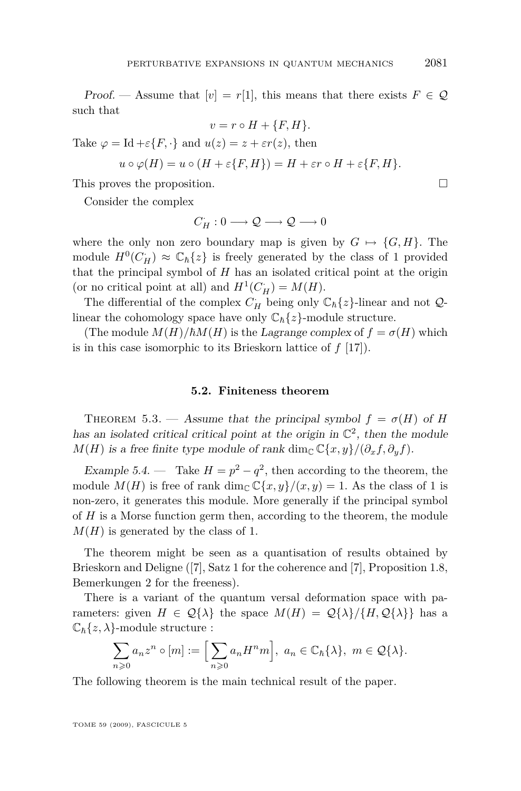<span id="page-21-0"></span>Proof. — Assume that  $[v] = r[1]$ , this means that there exists  $F \in \mathcal{Q}$ such that  $v = r \circ H + \{F, H\}$ 

Take 
$$
\varphi = \text{Id} + \varepsilon \{F, \cdot\}
$$
 and  $u(z) = z + \varepsilon r(z)$ , then  
\n $u \circ \varphi(H) = u \circ (H + \varepsilon \{F, H\}) = H + \varepsilon r \circ H + \varepsilon \{F, H\}.$ 

This proves the proposition.

Consider the complex

$$
C_H: 0 \longrightarrow \mathcal{Q} \longrightarrow \mathcal{Q} \longrightarrow 0
$$

where the only non zero boundary map is given by  $G \mapsto \{G, H\}$ . The module  $H^0(C_H^{\cdot}) \approx \mathbb{C}_h\{z\}$  is freely generated by the class of 1 provided that the principal symbol of *H* has an isolated critical point at the origin (or no critical point at all) and  $H^1(C_H) = M(H)$ .

The differential of the complex  $C_H$  being only  $\mathbb{C}_{\hbar}\{z\}$ -linear and not  $\mathcal{Q}$ linear the cohomology space have only  $\mathbb{C}_{\hbar}\{z\}$ -module structure.

(The module  $M(H)/\hbar M(H)$  is the Lagrange complex of  $f = \sigma(H)$  which is in this case isomorphic to its Brieskorn lattice of *f* [\[17\]](#page-40-0)).

#### **5.2. Finiteness theorem**

THEOREM 5.3. — Assume that the principal symbol  $f = \sigma(H)$  of *H* has an isolated critical critical point at the origin in  $\mathbb{C}^2$ , then the module *M*(*H*) is a free finite type module of rank dim<sub>C</sub>  $\mathbb{C}\lbrace x, y \rbrace /(\partial_x f, \partial_y f)$ .

Example 5.4. — Take  $H = p^2 - q^2$ , then according to the theorem, the module  $M(H)$  is free of rank dim<sub>C</sub>  $\mathbb{C}\{x,y\}/(x,y) = 1$ . As the class of 1 is non-zero, it generates this module. More generally if the principal symbol of *H* is a Morse function germ then, according to the theorem, the module  $M(H)$  is generated by the class of 1.

The theorem might be seen as a quantisation of results obtained by Brieskorn and Deligne ([\[7\]](#page-40-0), Satz 1 for the coherence and [\[7\]](#page-40-0), Proposition 1.8, Bemerkungen 2 for the freeness).

There is a variant of the quantum versal deformation space with parameters: given  $H \in \mathcal{Q}\{\lambda\}$  the space  $M(H) = \mathcal{Q}\{\lambda\}/\{H, \mathcal{Q}\{\lambda\}\}\$  has a  $\mathbb{C}_{\hbar}\{z,\lambda\}$ -module structure :

$$
\sum_{n\geqslant 0} a_n z^n \circ [m] := \Big[ \sum_{n\geqslant 0} a_n H^n m \Big], \ a_n \in \mathbb{C}_h\{\lambda\}, \ m \in \mathcal{Q}\{\lambda\}.
$$

The following theorem is the main technical result of the paper.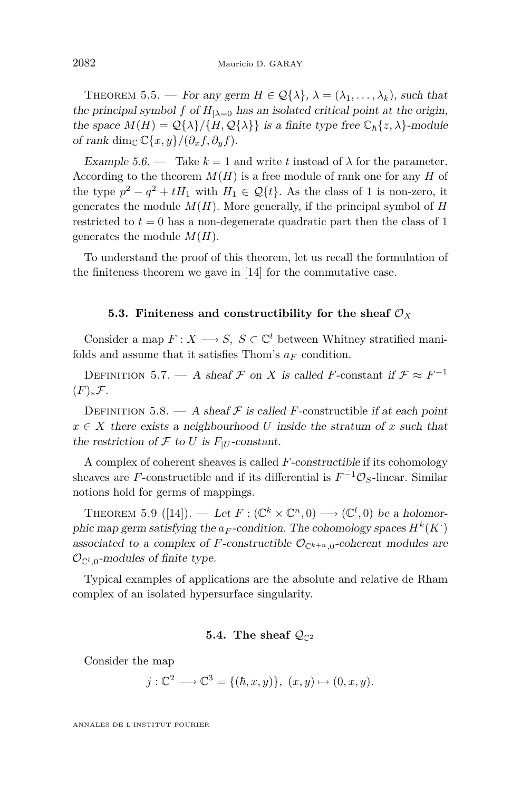THEOREM 5.5. — For any germ  $H \in \mathcal{Q}\{\lambda\}, \lambda = (\lambda_1, \ldots, \lambda_k)$ , such that the principal symbol *f* of  $H_{\lambda=0}$  has an isolated critical point at the origin, the space  $M(H) = \mathcal{Q}\{\lambda\}/\{H, \mathcal{Q}\{\lambda\}\}\$ is a finite type free  $\mathbb{C}_{\hbar}\{z, \lambda\}$ -module of rank dim<sub>C</sub>  $\mathbb{C}\{x,y\}/(\partial_x f, \partial_y f)$ .

Example 5.6. — Take  $k = 1$  and write t instead of  $\lambda$  for the parameter. According to the theorem  $M(H)$  is a free module of rank one for any  $H$  of the type  $p^2 - q^2 + tH_1$  with  $H_1 \in \mathcal{Q}{t}$ . As the class of 1 is non-zero, it generates the module  $M(H)$ . More generally, if the principal symbol of  $H$ restricted to  $t = 0$  has a non-degenerate quadratic part then the class of 1 generates the module *M*(*H*).

To understand the proof of this theorem, let us recall the formulation of the finiteness theorem we gave in [\[14\]](#page-40-0) for the commutative case.

#### **5.3. Finiteness and constructibility for the sheaf**  $\mathcal{O}_X$

Consider a map  $F: X \longrightarrow S$ ,  $S \subset \mathbb{C}^l$  between Whitney stratified manifolds and assume that it satisfies Thom's  $a_F$  condition.

DEFINITION 5.7. — A sheaf  $\mathcal F$  on  $X$  is called  $F$ -constant if  $\mathcal F \approx F^{-1}$ (*F*)*∗F.*

DEFINITION 5.8. — A sheaf  $\mathcal F$  is called *F*-constructible if at each point  $x \in X$  there exists a neighbourhood *U* inside the stratum of *x* such that the restriction of  $\mathcal F$  to  $U$  is  $F_{|U}$ -constant.

A complex of coherent sheaves is called *F*-constructible if its cohomology sheaves are *F*-constructible and if its differential is  $F^{-1}\mathcal{O}_S$ -linear. Similar notions hold for germs of mappings.

THEOREM 5.9 ([\[14\]](#page-40-0)). — Let  $F: (\mathbb{C}^k \times \mathbb{C}^n, 0) \longrightarrow (\mathbb{C}^l, 0)$  be a holomorphic map germ satisfying the  $a_F$ -condition. The cohomology spaces  $H^k(K)$ associated to a complex of *F*-constructible  $\mathcal{O}_{\mathbb{C}^{k+n},0}$ -coherent modules are  $\mathcal{O}_{\mathbb{C}^l,0}$ -modules of finite type.

Typical examples of applications are the absolute and relative de Rham complex of an isolated hypersurface singularity.

#### **5.4.** The sheaf  $Q_{\mathbb{C}^2}$

Consider the map

$$
j: \mathbb{C}^2 \longrightarrow \mathbb{C}^3 = \{ (\hbar, x, y) \}, (x, y) \mapsto (0, x, y).
$$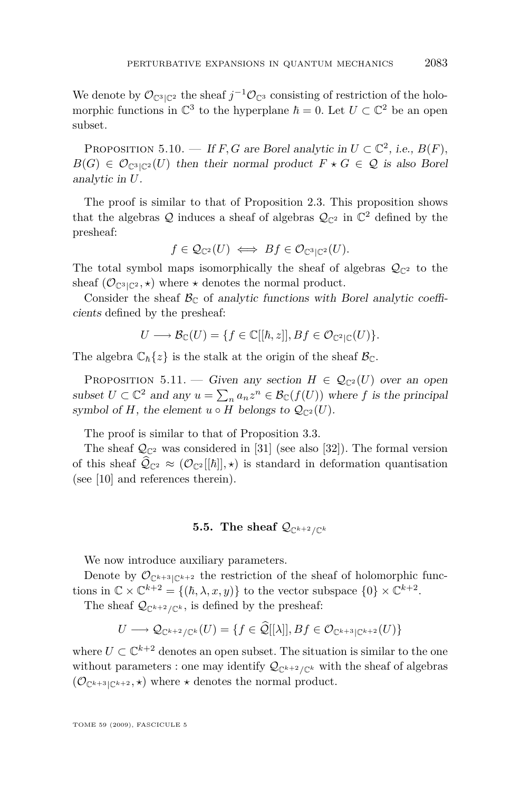We denote by  $\mathcal{O}_{\mathbb{C}^3|\mathbb{C}^2}$  the sheaf  $j^{-1}\mathcal{O}_{\mathbb{C}^3}$  consisting of restriction of the holomorphic functions in  $\mathbb{C}^3$  to the hyperplane  $\hbar = 0$ . Let  $U \subset \mathbb{C}^2$  be an open subset.

PROPOSITION 5.10. — If *F*, *G* are Borel analytic in  $U \subset \mathbb{C}^2$ , i.e.,  $B(F)$ ,  $B(G) \in \mathcal{O}_{\mathbb{C}^3 \setminus \mathbb{C}^2}(U)$  then their normal product  $F \star G \in \mathcal{Q}$  is also Borel analytic in *U*.

The proof is similar to that of Proposition [2.3.](#page-10-0) This proposition shows that the algebras  $\mathcal Q$  induces a sheaf of algebras  $\mathcal Q_{\mathbb C^2}$  in  $\mathbb C^2$  defined by the presheaf:

$$
f \in \mathcal{Q}_{\mathbb{C}^2}(U) \iff Bf \in \mathcal{O}_{\mathbb{C}^3|\mathbb{C}^2}(U).
$$

The total symbol maps isomorphically the sheaf of algebras  $\mathcal{Q}_{\mathbb{C}^2}$  to the sheaf  $(\mathcal{O}_{\mathbb{C}^3|\mathbb{C}^2}, \star)$  where  $\star$  denotes the normal product.

Consider the sheaf  $\mathcal{B}_{\mathbb{C}}$  of analytic functions with Borel analytic coefficients defined by the presheaf:

$$
U \longrightarrow \mathcal{B}_{\mathbb{C}}(U) = \{ f \in \mathbb{C}[[\hbar, z]], Bf \in \mathcal{O}_{\mathbb{C}^2|\mathbb{C}}(U) \}.
$$

The algebra  $\mathbb{C}_{\hbar} \{z\}$  is the stalk at the origin of the sheaf  $\mathcal{B}_{\mathbb{C}}$ .

PROPOSITION 5.11. — Given any section  $H \in \mathcal{Q}_{\mathbb{C}^2}(U)$  over an open subset  $U \subset \mathbb{C}^2$  and any  $u = \sum_n a_n z^n \in \mathcal{B}_{\mathbb{C}}(f(U))$  where  $f$  is the principal symbol of *H*, the element  $u \circ H$  belongs to  $\mathcal{Q}_{\mathbb{C}^2}(U)$ .

The proof is similar to that of Proposition [3.3.](#page-12-0)

The sheaf  $\mathcal{Q}_{\mathbb{C}^2}$  was considered in [\[31\]](#page-41-0) (see also [\[32\]](#page-41-0)). The formal version of this sheaf  $\hat{Q}_{\mathbb{C}^2} \approx (\mathcal{O}_{\mathbb{C}^2}[[\hbar]], \star)$  is standard in deformation quantisation (see [\[10\]](#page-40-0) and references therein).

#### **5.5.** The sheaf  $Q_{\mathbb{C}^{k+2}/\mathbb{C}^k}$

We now introduce auxiliary parameters.

Denote by  $\mathcal{O}_{\mathbb{C}^{k+3}\vert\mathbb{C}^{k+2}}$  the restriction of the sheaf of holomorphic functions in  $\mathbb{C} \times \mathbb{C}^{k+2} = \{(\hbar, \lambda, x, y)\}\$ to the vector subspace  $\{0\} \times \mathbb{C}^{k+2}$ .

The sheaf  $Q_{\mathbb{C}^{k+2}/\mathbb{C}^k}$ , is defined by the presheaf:

$$
U \longrightarrow \mathcal{Q}_{\mathbb{C}^{k+2}/\mathbb{C}^k}(U) = \{ f \in \widehat{\mathcal{Q}}[[\lambda]], Bf \in \mathcal{O}_{\mathbb{C}^{k+3}|\mathbb{C}^{k+2}}(U) \}
$$

where  $U \subset \mathbb{C}^{k+2}$  denotes an open subset. The situation is similar to the one without parameters : one may identify  $\mathcal{Q}_{\mathbb{C}^{k+2}/\mathbb{C}^k}$  with the sheaf of algebras  $(\mathcal{O}_{\mathbb{C}^{k+3}|\mathbb{C}^{k+2}}, \star)$  where  $\star$  denotes the normal product.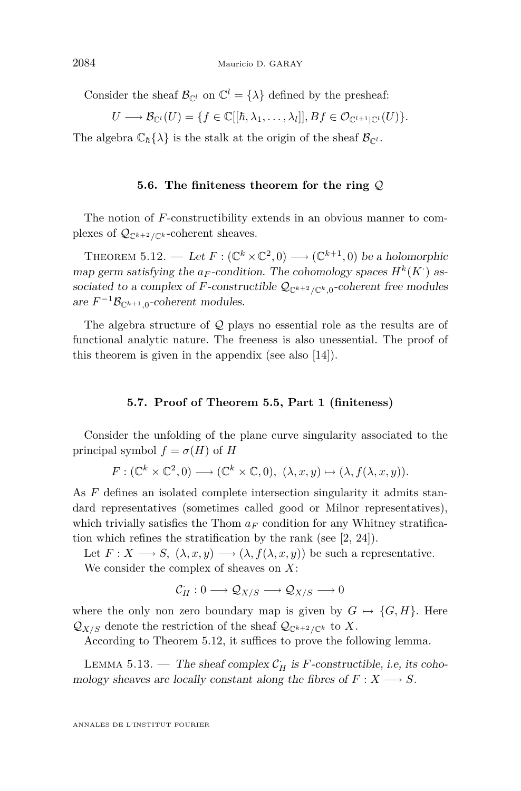<span id="page-24-0"></span>Consider the sheaf  $\mathcal{B}_{\mathbb{C}^l}$  on  $\mathbb{C}^l = {\lambda}$  defined by the presheaf:

$$
U \longrightarrow \mathcal{B}_{\mathbb{C}^l}(U) = \{ f \in \mathbb{C}[[\hbar, \lambda_1, \dots, \lambda_l]], Bf \in \mathcal{O}_{\mathbb{C}^{l+1}|\mathbb{C}^l}(U) \}.
$$

The algebra  $\mathbb{C}_{\hbar} \{\lambda\}$  is the stalk at the origin of the sheaf  $\mathcal{B}_{\mathbb{C}^l}$ .

#### **5.6. The finiteness theorem for the ring** *Q*

The notion of *F*-constructibility extends in an obvious manner to complexes of  $\mathcal{Q}_{\mathbb{C}^{k+2}/\mathbb{C}^k}$ -coherent sheaves.

THEOREM 5.12. — Let  $F: (\mathbb{C}^k \times \mathbb{C}^2, 0) \longrightarrow (\mathbb{C}^{k+1}, 0)$  be a holomorphic map germ satisfying the  $a_F$ -condition. The cohomology spaces  $H^k(K)$  associated to a complex of *F*-constructible  $\mathcal{Q}_{\mathbb{C}^{k+2}/\mathbb{C}^k,0}$ -coherent free modules are  $F^{-1}\mathcal{B}_{\mathbb{C}^{k+1},0}$ -coherent modules.

The algebra structure of *Q* plays no essential role as the results are of functional analytic nature. The freeness is also unessential. The proof of this theorem is given in the appendix (see also [\[14\]](#page-40-0)).

#### **5.7. Proof of Theorem [5.5,](#page-21-0) Part 1 (finiteness)**

Consider the unfolding of the plane curve singularity associated to the principal symbol  $f = \sigma(H)$  of *H* 

$$
F: (\mathbb{C}^k \times \mathbb{C}^2, 0) \longrightarrow (\mathbb{C}^k \times \mathbb{C}, 0), (\lambda, x, y) \mapsto (\lambda, f(\lambda, x, y)).
$$

As *F* defines an isolated complete intersection singularity it admits standard representatives (sometimes called good or Milnor representatives), which trivially satisfies the Thom  $a_F$  condition for any Whitney stratification which refines the stratification by the rank (see [\[2,](#page-39-0) [24\]](#page-40-0)).

Let  $F: X \longrightarrow S$ ,  $(\lambda, x, y) \longrightarrow (\lambda, f(\lambda, x, y))$  be such a representative. We consider the complex of sheaves on *X*:

$$
\mathcal{C}_H: 0 \longrightarrow \mathcal{Q}_{X/S} \longrightarrow \mathcal{Q}_{X/S} \longrightarrow 0
$$

where the only non zero boundary map is given by  $G \mapsto \{G, H\}$ . Here  $Q_{X/S}$  denote the restriction of the sheaf  $Q_{\mathbb{C}^{k+2}/\mathbb{C}^k}$  to X.

According to Theorem 5.12, it suffices to prove the following lemma.

LEMMA 5.13. — The sheaf complex  $\mathcal{C}_H$  is *F*-constructible, i.e, its cohomology sheaves are locally constant along the fibres of  $F: X \longrightarrow S$ .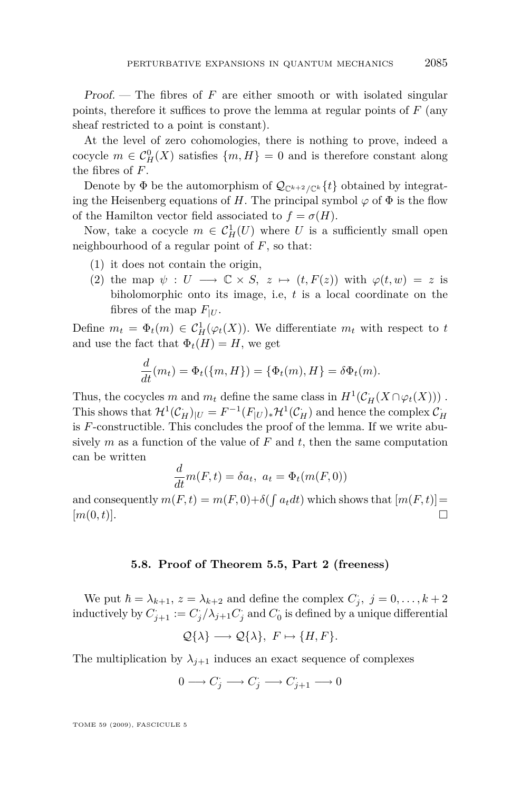Proof. — The fibres of *F* are either smooth or with isolated singular points, therefore it suffices to prove the lemma at regular points of *F* (any sheaf restricted to a point is constant).

At the level of zero cohomologies, there is nothing to prove, indeed a cocycle  $m \in C_H^0(X)$  satisfies  $\{m, H\} = 0$  and is therefore constant along the fibres of *F*.

Denote by  $\Phi$  be the automorphism of  $\mathcal{Q}_{\mathbb{C}^{k+2}/\mathbb{C}^k}{t}$  obtained by integrating the Heisenberg equations of *H*. The principal symbol  $\varphi$  of  $\Phi$  is the flow of the Hamilton vector field associated to  $f = \sigma(H)$ .

Now, take a cocycle  $m \in C_H^1(U)$  where *U* is a sufficiently small open neighbourhood of a regular point of *F*, so that:

- (1) it does not contain the origin,
- (2) the map  $\psi : U \longrightarrow \mathbb{C} \times S$ ,  $z \mapsto (t, F(z))$  with  $\varphi(t, w) = z$  is biholomorphic onto its image, i.e, *t* is a local coordinate on the fibres of the map  $F_{|U}$ .

Define  $m_t = \Phi_t(m) \in C_H^1(\varphi_t(X))$ . We differentiate  $m_t$  with respect to *t* and use the fact that  $\Phi_t(H) = H$ , we get

$$
\frac{d}{dt}(m_t) = \Phi_t(\{m, H\}) = \{\Phi_t(m), H\} = \delta\Phi_t(m).
$$

Thus, the cocycles *m* and  $m_t$  define the same class in  $H^1(\mathcal{C}_H(X \cap \varphi_t(X)))$ . This shows that  $\mathcal{H}^1(\mathcal{C}_H^-)_{|U} = F^{-1}(F_{|U})_*\mathcal{H}^1(\mathcal{C}_H^-)$  and hence the complex  $\mathcal{C}_H^$ is *F*-constructible. This concludes the proof of the lemma. If we write abusively  $m$  as a function of the value of  $F$  and  $t$ , then the same computation can be written

$$
\frac{d}{dt}m(F,t) = \delta a_t, \ a_t = \Phi_t(m(F,0))
$$

and consequently  $m(F, t) = m(F, 0) + \delta(\int a_t dt)$  which shows that  $[m(F, t)] =$  $[m(0,t)].$ 

#### **5.8. Proof of Theorem [5.5,](#page-21-0) Part 2 (freeness)**

We put  $\hbar = \lambda_{k+1}$ ,  $z = \lambda_{k+2}$  and define the complex  $C_j$ ,  $j = 0, \ldots, k+2$ inductively by  $C_{j+1} := C_j/\lambda_{j+1} C_j$  and  $C_0$  is defined by a unique differential

$$
\mathcal{Q}\{\lambda\} \longrightarrow \mathcal{Q}\{\lambda\},\ F \mapsto \{H, F\}.
$$

The multiplication by  $\lambda_{j+1}$  induces an exact sequence of complexes

$$
0\longrightarrow C_j^{\textstyle\cdot}\longrightarrow C_j^{\textstyle\cdot}\longrightarrow C_{j+1}^{\textstyle\cdot}\longrightarrow 0
$$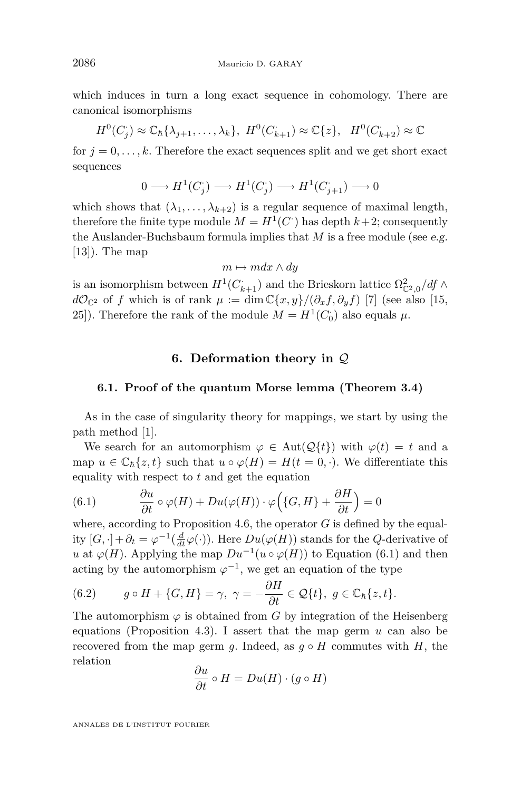<span id="page-26-0"></span>which induces in turn a long exact sequence in cohomology. There are canonical isomorphisms

$$
H^0(C_j) \approx \mathbb{C}_{\hbar} \{\lambda_{j+1}, \dots, \lambda_k\}, \ H^0(C_{k+1}) \approx \mathbb{C}\{z\}, \ H^0(C_{k+2}) \approx \mathbb{C}
$$

for  $j = 0, \ldots, k$ . Therefore the exact sequences split and we get short exact sequences

$$
0\longrightarrow H^1(C_j)\longrightarrow H^1(C_j)\longrightarrow H^1(C_{j+1})\longrightarrow 0
$$

which shows that  $(\lambda_1, \ldots, \lambda_{k+2})$  is a regular sequence of maximal length, therefore the finite type module  $M = H<sup>1</sup>(C<sup>\cdot</sup>)$  has depth  $k+2$ ; consequently the Auslander-Buchsbaum formula implies that *M* is a free module (see e.g.  $[13]$ . The map

$$
m \mapsto m dx \wedge dy
$$

is an isomorphism between  $H^1(C_{k+1}^+)$  and the Brieskorn lattice  $\Omega_{\mathbb{C}^2,0}^2/df \wedge$ *dO*<sub>C</sub><sup>2</sup> of *f* which is of rank  $\mu := \dim \mathbb{C}\{x, y\}$ /(*∂*<sub>*x*</sub>*f*, *∂*<sub>*y*</sub>*f*) [\[7\]](#page-40-0) (see also [\[15,](#page-40-0) [25\]](#page-40-0)). Therefore the rank of the module  $M = H<sup>1</sup>(C<sub>0</sub>)$  also equals  $\mu$ .

#### **6. Deformation theory in** *Q*

#### **6.1. Proof of the quantum Morse lemma (Theorem [3.4\)](#page-13-0)**

As in the case of singularity theory for mappings, we start by using the path method [\[1\]](#page-39-0).

We search for an automorphism  $\varphi \in Aut(\mathcal{Q}{t})$  with  $\varphi(t) = t$  and a map  $u \in \mathbb{C}_{\hbar}\{z,t\}$  such that  $u \circ \varphi(H) = H(t=0,\cdot)$ . We differentiate this equality with respect to *t* and get the equation

(6.1) 
$$
\frac{\partial u}{\partial t} \circ \varphi(H) + Du(\varphi(H)) \cdot \varphi\Big(\{G, H\} + \frac{\partial H}{\partial t}\Big) = 0
$$

where, according to Proposition [4.6,](#page-18-0) the operator  $G$  is defined by the equality  $[G, \cdot] + \partial_t = \varphi^{-1}(\frac{d}{dt}\varphi(\cdot))$ . Here  $Du(\varphi(H))$  stands for the *Q*-derivative of *u* at  $\varphi(H)$ . Applying the map  $Du^{-1}(u \circ \varphi(H))$  to Equation (6.1) and then acting by the automorphism  $\varphi^{-1}$ , we get an equation of the type

(6.2) 
$$
g \circ H + \{G, H\} = \gamma, \ \gamma = -\frac{\partial H}{\partial t} \in \mathcal{Q}{t}, \ g \in \mathbb{C}_{\hbar}\{z, t\}.
$$

The automorphism  $\varphi$  is obtained from *G* by integration of the Heisenberg equations (Proposition [4.3\)](#page-16-0). I assert that the map germ *u* can also be recovered from the map germ *g*. Indeed, as  $g \circ H$  commutes with *H*, the relation

$$
\frac{\partial u}{\partial t} \circ H = Du(H) \cdot (g \circ H)
$$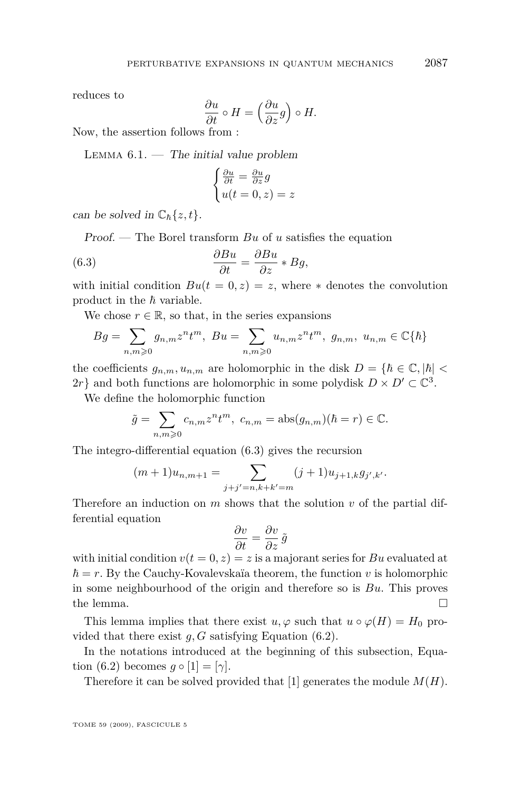reduces to

$$
\frac{\partial u}{\partial t} \circ H = \left(\frac{\partial u}{\partial z}g\right) \circ H.
$$

Now, the assertion follows from :

LEMMA  $6.1.$  — The initial value problem

$$
\begin{cases} \frac{\partial u}{\partial t} = \frac{\partial u}{\partial z} g\\ u(t = 0, z) = z \end{cases}
$$

can be solved in  $\mathbb{C}_{\hbar}\{z,t\}$ .

Proof. — The Borel transform *Bu* of *u* satisfies the equation

(6.3) 
$$
\frac{\partial Bu}{\partial t} = \frac{\partial Bu}{\partial z} * By,
$$

with initial condition  $Bu(t = 0, z) = z$ , where  $*$  denotes the convolution product in the  $\hbar$  variable.

We chose  $r \in \mathbb{R}$ , so that, in the series expansions

$$
Bg = \sum_{n,m \geq 0} g_{n,m} z^n t^m, \ Bu = \sum_{n,m \geq 0} u_{n,m} z^n t^m, \ g_{n,m}, \ u_{n,m} \in \mathbb{C} {\hbar}
$$

the coefficients  $g_{n,m}, u_{n,m}$  are holomorphic in the disk  $D = \{\hbar \in \mathbb{C}, |\hbar| < \infty\}$  $2r$ } and both functions are holomorphic in some polydisk  $D \times D' \subset \mathbb{C}^3$ .

We define the holomorphic function

$$
\tilde{g} = \sum_{n,m \geqslant 0} c_{n,m} z^n t^m, \ c_{n,m} = \text{abs}(g_{n,m})(\hbar = r) \in \mathbb{C}.
$$

The integro-differential equation (6.3) gives the recursion

$$
(m+1)u_{n,m+1} = \sum_{j+j'=n,k+k'=m} (j+1)u_{j+1,k}g_{j',k'}.
$$

Therefore an induction on *m* shows that the solution *v* of the partial differential equation

$$
\frac{\partial v}{\partial t} = \frac{\partial v}{\partial z}\,\tilde{g}
$$

with initial condition  $v(t = 0, z) = z$  is a majorant series for *Bu* evaluated at  $\hbar = r$ . By the Cauchy-Kovalevskaïa theorem, the function *v* is holomorphic in some neighbourhood of the origin and therefore so is *Bu*. This proves the lemma.  $\Box$ 

This lemma implies that there exist  $u, \varphi$  such that  $u \circ \varphi(H) = H_0$  provided that there exist *g, G* satisfying Equation [\(6.2\)](#page-26-0).

In the notations introduced at the beginning of this subsection, Equa-tion [\(6.2\)](#page-26-0) becomes  $g \circ [1] = [\gamma]$ .

Therefore it can be solved provided that [1] generates the module *M*(*H*).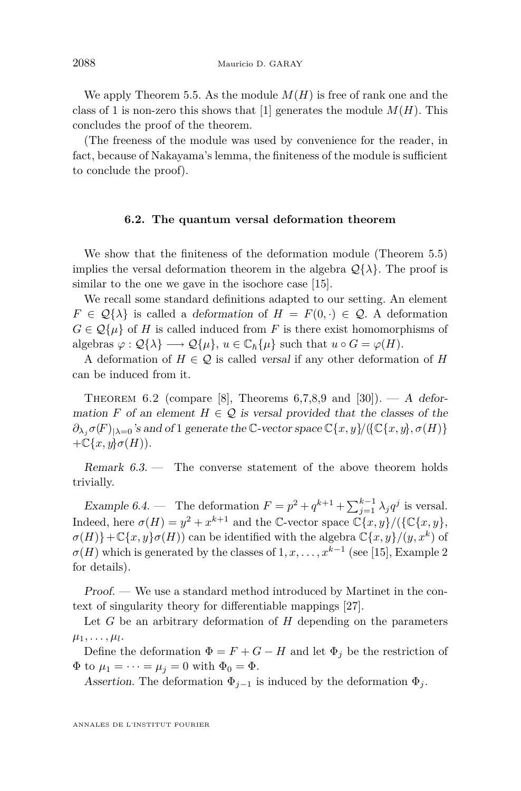<span id="page-28-0"></span>We apply Theorem [5.5.](#page-21-0) As the module  $M(H)$  is free of rank one and the class of 1 is non-zero this shows that [1] generates the module  $M(H)$ . This concludes the proof of the theorem.

(The freeness of the module was used by convenience for the reader, in fact, because of Nakayama's lemma, the finiteness of the module is sufficient to conclude the proof).

#### **6.2. The quantum versal deformation theorem**

We show that the finiteness of the deformation module (Theorem [5.5\)](#page-21-0) implies the versal deformation theorem in the algebra  $\mathcal{Q}\{\lambda\}$ . The proof is similar to the one we gave in the isochore case [\[15\]](#page-40-0).

We recall some standard definitions adapted to our setting. An element  $F \in \mathcal{Q}\{\lambda\}$  is called a *deformation* of  $H = F(0, \cdot) \in \mathcal{Q}$ . A deformation  $G \in \mathcal{Q}\{\mu\}$  of *H* is called induced from *F* is there exist homomorphisms of algebras  $\varphi : \mathcal{Q}\{\lambda\} \longrightarrow \mathcal{Q}\{\mu\}, u \in \mathbb{C}_{\hbar}\{\mu\}$  such that  $u \circ G = \varphi(H)$ .

A deformation of  $H \in \mathcal{Q}$  is called versal if any other deformation of *H* can be induced from it.

THEOREM 6.2 (compare [\[8\]](#page-40-0), Theorems 6,7,8,9 and [\[30\]](#page-41-0)). — A deformation *F* of an element  $H \in \mathcal{Q}$  is versal provided that the classes of the  $\partial_{\lambda_i} \sigma(F)_{|\lambda=0}$ 's and of 1 generate the C-vector space  $\mathbb{C}\{x, y\}$ / $(\{\mathbb{C}\{x, y\}, \sigma(H)\})$  $+\mathbb{C}\lbrace x,y \rbrace \sigma(H)$ ).

Remark  $6.3.$  — The converse statement of the above theorem holds trivially.

Example 6.4. — The deformation  $F = p^2 + q^{k+1} + \sum_{j=1}^{k-1} \lambda_j q^j$  is versal. Indeed, here  $\sigma(H) = y^2 + x^{k+1}$  and the C-vector space  $\mathbb{C}\lbrace x, y \rbrace / (\lbrace \mathbb{C}\lbrace x, y \rbrace, \rbrace)$  $\sigma(H)$ } + C $\{x, y\}$  $\sigma(H)$  can be identified with the algebra  $\mathbb{C}\{x, y\}$ */*(*y, x*<sup>*k*</sup>) of  $\sigma(H)$  which is generated by the classes of  $1, x, \ldots, x^{k-1}$  (see [\[15\]](#page-40-0), Example 2 for details).

Proof. — We use a standard method introduced by Martinet in the context of singularity theory for differentiable mappings [\[27\]](#page-40-0).

Let *G* be an arbitrary deformation of *H* depending on the parameters  $\mu_1, \ldots, \mu_l.$ 

Define the deformation  $\Phi = F + G - H$  and let  $\Phi_j$  be the restriction of  $\Phi$  to  $\mu_1 = \cdots = \mu_j = 0$  with  $\Phi_0 = \Phi$ .

Assertion. The deformation  $\Phi_{j-1}$  is induced by the deformation  $\Phi_j$ .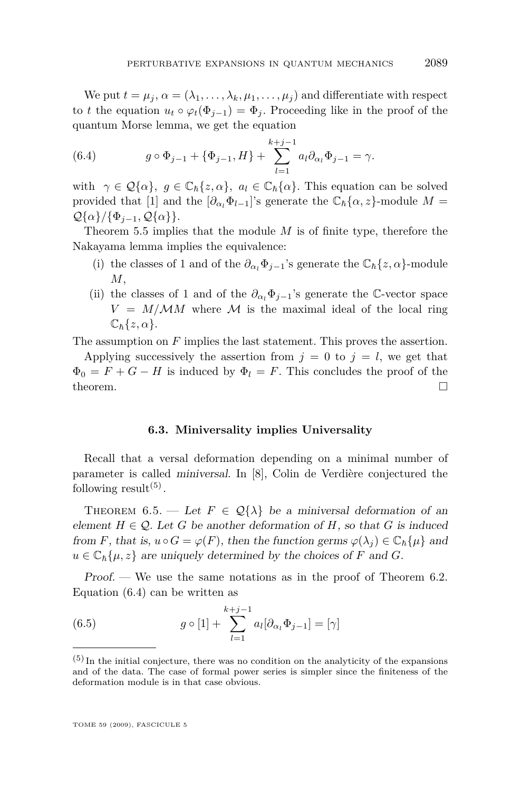<span id="page-29-0"></span>We put  $t = \mu_j$ ,  $\alpha = (\lambda_1, \dots, \lambda_k, \mu_1, \dots, \mu_j)$  and differentiate with respect to *t* the equation  $u_t \circ \varphi_t(\Phi_{i-1}) = \Phi_i$ . Proceeding like in the proof of the quantum Morse lemma, we get the equation

(6.4) 
$$
g \circ \Phi_{j-1} + \{\Phi_{j-1}, H\} + \sum_{l=1}^{k+j-1} a_l \partial_{\alpha_l} \Phi_{j-1} = \gamma.
$$

with  $\gamma \in \mathcal{Q}\{\alpha\}$ ,  $g \in \mathbb{C}_{\hbar}\{z,\alpha\}$ ,  $a_l \in \mathbb{C}_{\hbar}\{\alpha\}$ . This equation can be solved provided that [1] and the  $[\partial_{\alpha_1} \Phi_{l-1}]$ 's generate the  $\mathbb{C}_{\hbar} {\alpha, z}$ }-module  $M =$ *Q*{*α}*/{ $Φ$ <sub>*j*−1</sub>, *Q*{*α*}}.

Theorem [5.5](#page-21-0) implies that the module *M* is of finite type, therefore the Nakayama lemma implies the equivalence:

- (i) the classes of 1 and of the  $\partial_{\alpha} \Phi_{j-1}$ 's generate the  $\mathbb{C}_{\hbar} \{z, \alpha\}$ -module *M*,
- (ii) the classes of 1 and of the  $\partial_{\alpha_i} \Phi_{j-1}$ 's generate the C-vector space  $V = M/MM$  where M is the maximal ideal of the local ring  $\mathbb{C}_{\hbar}\{z,\alpha\}.$

The assumption on *F* implies the last statement. This proves the assertion.

Applying successively the assertion from  $j = 0$  to  $j = l$ , we get that  $\Phi_0 = F + G - H$  is induced by  $\Phi_l = F$ . This concludes the proof of the theorem.  $\Box$ 

#### **6.3. Miniversality implies Universality**

Recall that a versal deformation depending on a minimal number of parameter is called miniversal. In [\[8\]](#page-40-0), Colin de Verdière conjectured the following  $result<sup>(5)</sup>$ .

THEOREM 6.5. — Let  $F \in \mathcal{Q}\{\lambda\}$  be a miniversal deformation of an element  $H \in \mathcal{Q}$ . Let *G* be another deformation of *H*, so that *G* is induced from *F*, that is,  $u \circ G = \varphi(F)$ , then the function germs  $\varphi(\lambda_i) \in \mathbb{C}_{\hbar} \{ \mu \}$  and  $u \in \mathbb{C}_{\hbar} \{\mu, z\}$  are uniquely determined by the choices of *F* and *G*.

Proof. — We use the same notations as in the proof of Theorem [6.2.](#page-28-0) Equation (6.4) can be written as

(6.5) 
$$
g \circ [1] + \sum_{l=1}^{k+j-1} a_l [\partial_{\alpha_l} \Phi_{j-1}] = [\gamma]
$$

 $(5)$  In the initial conjecture, there was no condition on the analyticity of the expansions and of the data. The case of formal power series is simpler since the finiteness of the deformation module is in that case obvious.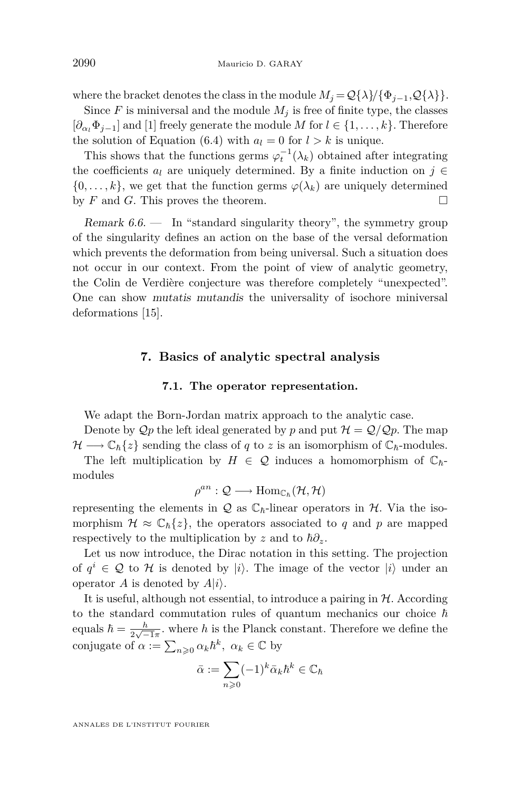where the bracket denotes the class in the module  $M_j = \mathcal{Q}\{\lambda\}/\{\Phi_{j-1}, \mathcal{Q}\{\lambda\}\}.$ 

Since  $F$  is miniversal and the module  $M_i$  is free of finite type, the classes  $[\partial_{\alpha_i} \Phi_{i-1}]$  and [1] freely generate the module *M* for  $l \in \{1, \ldots, k\}$ . Therefore the solution of Equation [\(6.4\)](#page-29-0) with  $a_l = 0$  for  $l > k$  is unique.

This shows that the functions germs  $\varphi_t^{-1}(\lambda_k)$  obtained after integrating the coefficients  $a_l$  are uniquely determined. By a finite induction on  $j \in$  $\{0, \ldots, k\}$ , we get that the function germs  $\varphi(\lambda_k)$  are uniquely determined by  $F$  and  $G$ . This proves the theorem.

Remark  $6.6.$  — In "standard singularity theory", the symmetry group of the singularity defines an action on the base of the versal deformation which prevents the deformation from being universal. Such a situation does not occur in our context. From the point of view of analytic geometry, the Colin de Verdière conjecture was therefore completely "unexpected". One can show mutatis mutandis the universality of isochore miniversal deformations [\[15\]](#page-40-0).

#### **7. Basics of analytic spectral analysis**

#### **7.1. The operator representation.**

We adapt the Born-Jordan matrix approach to the analytic case.

Denote by  $\mathcal{Q}_p$  the left ideal generated by p and put  $\mathcal{H} = \mathcal{Q}/\mathcal{Q}_p$ . The map  $\mathcal{H} \longrightarrow \mathbb{C}_{\hbar}\{z\}$  sending the class of *q* to *z* is an isomorphism of  $\mathbb{C}_{\hbar}$ -modules.

The left multiplication by  $H \in \mathcal{Q}$  induces a homomorphism of  $\mathbb{C}_{\hbar}$ modules

$$
\rho^{an} : \mathcal{Q} \longrightarrow \text{Hom}_{\mathbb{C}_h}(\mathcal{H}, \mathcal{H})
$$

representing the elements in  $Q$  as  $\mathbb{C}_{\hbar}$ -linear operators in  $H$ . Via the isomorphism  $\mathcal{H} \approx \mathbb{C}_{\hbar} \{z\}$ , the operators associated to q and p are mapped respectively to the multiplication by *z* and to  $\hbar \partial_z$ .

Let us now introduce, the Dirac notation in this setting. The projection of  $q^i$  ∈ Q to H is denoted by  $|i\rangle$ . The image of the vector  $|i\rangle$  under an operator *A* is denoted by  $A|i\rangle$ .

It is useful, although not essential, to introduce a pairing in *H*. According to the standard commutation rules of quantum mechanics our choice  $\hbar$ equals  $\hbar = \frac{h}{2\sqrt{2}}$  $\frac{h}{2\sqrt{-1}\pi}$ . where *h* is the Planck constant. Therefore we define the conjugate of  $\alpha := \sum_{n\geqslant 0} \alpha_k \hbar^k$ ,  $\alpha_k \in \mathbb{C}$  by

$$
\bar{\alpha} := \sum_{n\geqslant 0} (-1)^k \bar{\alpha}_k \hbar^k \in \mathbb{C}_{\hbar}
$$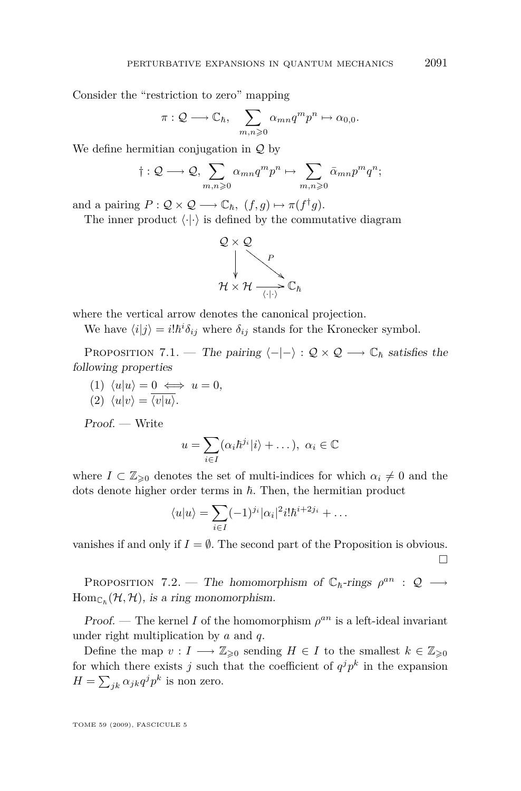<span id="page-31-0"></span>Consider the "restriction to zero" mapping

$$
\pi: \mathcal{Q} \longrightarrow \mathbb{C}_{\hbar}, \quad \sum_{m,n \geqslant 0} \alpha_{mn} q^m p^n \mapsto \alpha_{0,0}.
$$

We define hermitian conjugation in *Q* by

$$
\dagger: \mathcal{Q} \longrightarrow \mathcal{Q}, \sum_{m,n \geqslant 0} \alpha_{mn} q^m p^n \mapsto \sum_{m,n \geqslant 0} \bar{\alpha}_{mn} p^m q^n;
$$

and a pairing  $P: \mathcal{Q} \times \mathcal{Q} \longrightarrow \mathbb{C}_{\hbar}, \ (f, g) \mapsto \pi(f^{\dagger}g).$ 

The inner product  $\langle \cdot | \cdot \rangle$  is defined by the commutative diagram



where the vertical arrow denotes the canonical projection.

We have  $\langle i|j \rangle = i! \hbar^i \delta_{ij}$  where  $\delta_{ij}$  stands for the Kronecker symbol.

PROPOSITION 7.1. — The pairing  $\langle -|-\rangle : \mathcal{Q} \times \mathcal{Q} \longrightarrow \mathbb{C}_{\hbar}$  satisfies the following properties

- $\langle u | u \rangle = 0 \iff u = 0,$
- $\langle 2 \rangle \langle u|v \rangle = \overline{\langle v|u \rangle}.$

Proof. — Write

$$
u = \sum_{i \in I} (\alpha_i \hbar^{j_i} |i\rangle + \dots), \ \alpha_i \in \mathbb{C}
$$

where  $I \subset \mathbb{Z}_{\geqslant 0}$  denotes the set of multi-indices for which  $\alpha_i \neq 0$  and the dots denote higher order terms in  $h$ . Then, the hermitian product

$$
\langle u|u\rangle = \sum_{i\in I} (-1)^{j_i} |\alpha_i|^2 i! \hbar^{i+2j_i} + \dots
$$

vanishes if and only if  $I = \emptyset$ . The second part of the Proposition is obvious.  $\Box$ 

PROPOSITION 7.2. — The homomorphism of  $\mathbb{C}_{\hbar}$ -rings  $\rho^{an}$  :  $\mathcal{Q}$  →  $\text{Hom}_{\mathbb{C}_h}(\mathcal{H}, \mathcal{H})$ , is a ring monomorphism.

Proof. — The kernel *I* of the homomorphism  $\rho^{an}$  is a left-ideal invariant under right multiplication by *a* and *q*.

Define the map  $v: I \longrightarrow \mathbb{Z}_{\geqslant 0}$  sending  $H \in I$  to the smallest  $k \in \mathbb{Z}_{\geqslant 0}$ for which there exists *j* such that the coefficient of  $q^j p^k$  in the expansion  $H = \sum_{jk} \alpha_{jk} q^j p^k$  is non zero.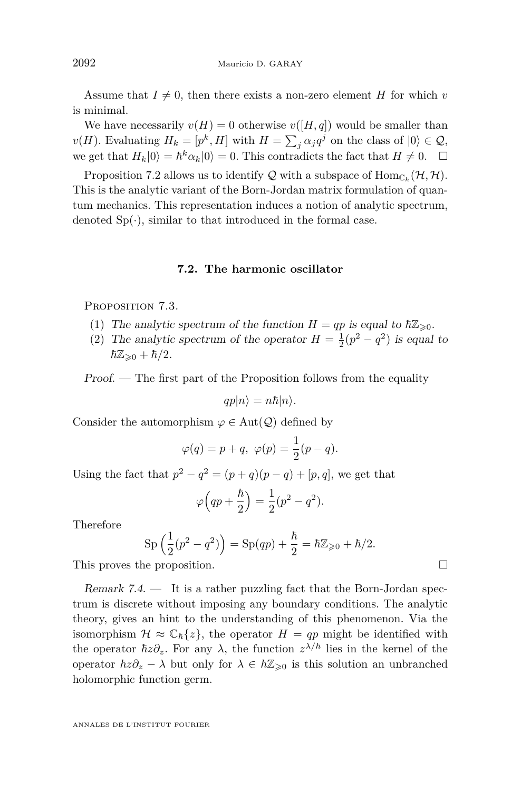Assume that  $I \neq 0$ , then there exists a non-zero element *H* for which *v* is minimal.

We have necessarily  $v(H) = 0$  otherwise  $v([H, q])$  would be smaller than *v*(*H*). Evaluating  $H_k = [p^k, H]$  with  $H = \sum_j \alpha_j q^j$  on the class of  $|0\rangle \in \mathcal{Q}$ , we get that  $H_k|0\rangle = \hbar^k \alpha_k|0\rangle = 0$ . This contradicts the fact that  $H \neq 0$ .  $\Box$ 

Proposition [7.2](#page-31-0) allows us to identify  $Q$  with a subspace of  $\text{Hom}_{\mathbb{C}_h}(\mathcal{H}, \mathcal{H})$ . This is the analytic variant of the Born-Jordan matrix formulation of quantum mechanics. This representation induces a notion of analytic spectrum, denoted  $Sp(\cdot)$ , similar to that introduced in the formal case.

#### **7.2. The harmonic oscillator**

PROPOSITION 7.3.

- (1) The analytic spectrum of the function  $H = qp$  is equal to  $\hbar Z_{\geq 0}$ .
- (2) The analytic spectrum of the operator  $H = \frac{1}{2}(p^2 q^2)$  is equal to  $\hbar \mathbb{Z}_{\geq 0} + \hbar/2.$

Proof. — The first part of the Proposition follows from the equality

$$
qp|n\rangle = n\hbar|n\rangle.
$$

Consider the automorphism  $\varphi \in Aut(\mathcal{Q})$  defined by

$$
\varphi(q) = p + q, \ \varphi(p) = \frac{1}{2}(p - q).
$$

Using the fact that  $p^2 - q^2 = (p+q)(p-q) + [p, q]$ , we get that

$$
\varphi\Big(qp+\frac{\hbar}{2}\Big)=\frac{1}{2}(p^2-q^2).
$$

Therefore

$$
Sp\left(\frac{1}{2}(p^{2} - q^{2})\right) = Sp(qp) + \frac{\hbar}{2} = \hbar \mathbb{Z}_{\geq 0} + \hbar/2.
$$

This proves the proposition.

Remark  $7.4.$  — It is a rather puzzling fact that the Born-Jordan spectrum is discrete without imposing any boundary conditions. The analytic theory, gives an hint to the understanding of this phenomenon. Via the isomorphism  $H \approx \mathbb{C}_{\hbar}\{z\}$ , the operator  $H = qp$  might be identified with the operator  $\hbar z \partial_z$ . For any  $\lambda$ , the function  $z^{\lambda/\hbar}$  lies in the kernel of the operator  $\hbar z \partial_z - \lambda$  but only for  $\lambda \in \hbar \mathbb{Z}_{\geqslant 0}$  is this solution an unbranched holomorphic function germ.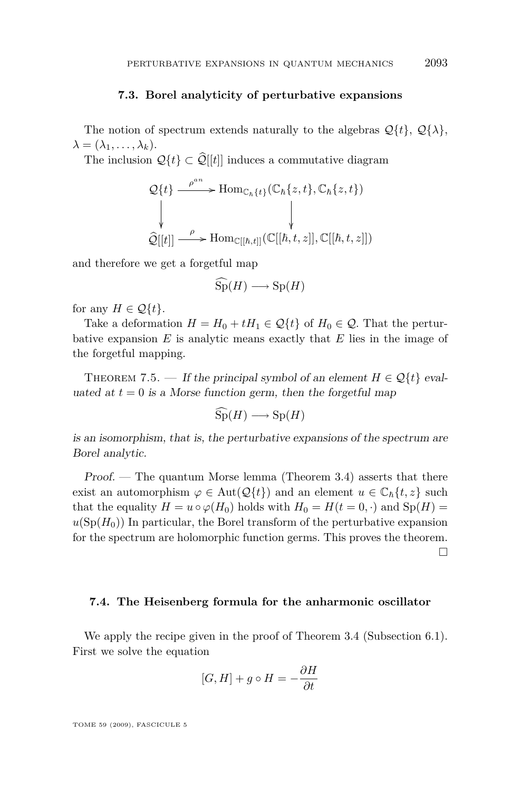#### **7.3. Borel analyticity of perturbative expansions**

The notion of spectrum extends naturally to the algebras  $\mathcal{Q}\{t\}$ ,  $\mathcal{Q}\{\lambda\}$ ,  $\lambda = (\lambda_1, \ldots, \lambda_k).$ 

The inclusion  $\mathcal{Q}\{t\} \subset \widehat{\mathcal{Q}}[[t]]$  induces a commutative diagram

$$
\mathcal{Q}{t} \longrightarrow \text{Hom}_{\mathbb{C}_{\hbar}{t}}(\mathbb{C}_{\hbar}{z,t},\mathbb{C}_{\hbar}{z,t})
$$
\n
$$
\downarrow \qquad \qquad \downarrow \qquad \qquad \downarrow
$$
\n
$$
\widehat{\mathcal{Q}}[[t]] \longrightarrow \text{Hom}_{\mathbb{C}[[\hbar,t]]}(\mathbb{C}[[\hbar,t,z]],\mathbb{C}[[\hbar,t,z]])
$$

and therefore we get a forgetful map

$$
\widehat{\mathrm{Sp}}(H) \longrightarrow \mathrm{Sp}(H)
$$

for any  $H \in \mathcal{Q}{t}$ .

Take a deformation  $H = H_0 + tH_1 \in \mathcal{Q}{t}$  of  $H_0 \in \mathcal{Q}$ . That the perturbative expansion *E* is analytic means exactly that *E* lies in the image of the forgetful mapping.

THEOREM 7.5. — If the principal symbol of an element  $H \in \mathcal{Q}{t}$  evaluated at  $t = 0$  is a Morse function germ, then the forgetful map

 $\widehat{\text{Sn}}(H) \longrightarrow \text{Sn}(H)$ 

is an isomorphism, that is, the perturbative expansions of the spectrum are Borel analytic.

Proof. — The quantum Morse lemma (Theorem [3.4\)](#page-13-0) asserts that there exist an automorphism  $\varphi \in \text{Aut}(\mathcal{Q}{t})$  and an element  $u \in \mathbb{C}_{\hbar} \{t, z\}$  such that the equality  $H = u \circ \varphi(H_0)$  holds with  $H_0 = H(t = 0, \cdot)$  and  $Sp(H) =$  $u(Sp(H_0))$  In particular, the Borel transform of the perturbative expansion for the spectrum are holomorphic function germs. This proves the theorem.  $\Box$ 

#### **7.4. The Heisenberg formula for the anharmonic oscillator**

We apply the recipe given in the proof of Theorem [3.4](#page-13-0) (Subsection [6.1\)](#page-26-0). First we solve the equation

$$
[G,H] + g \circ H = -\frac{\partial H}{\partial t}
$$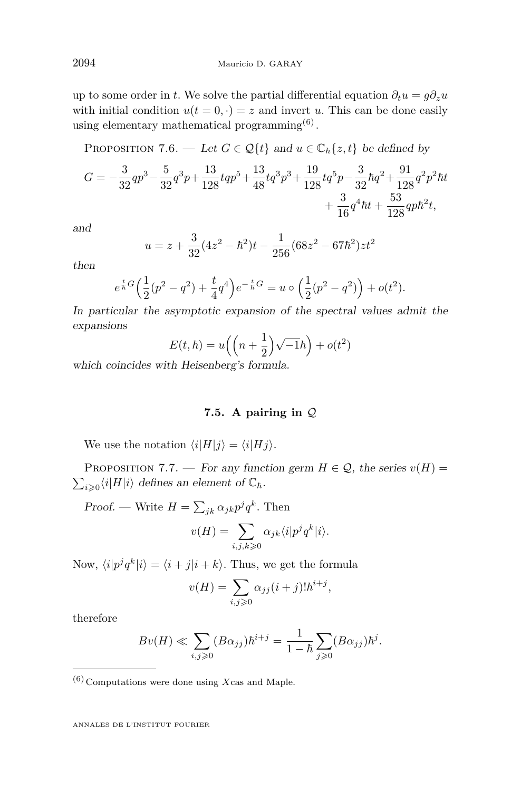up to some order in *t*. We solve the partial differential equation  $\partial_t u = g \partial_z u$ with initial condition  $u(t = 0, \cdot) = z$  and invert *u*. This can be done easily using elementary mathematical programming<sup> $(6)$ </sup>.

PROPOSITION 7.6. — Let  $G \in \mathcal{Q}{t}$  and  $u \in \mathbb{C}_{h}{z, t}$  be defined by

$$
G = -\frac{3}{32}qp^3 - \frac{5}{32}q^3p + \frac{13}{128}tqp^5 + \frac{13}{48}tq^3p^3 + \frac{19}{128}tq^5p - \frac{3}{32}\hbar q^2 + \frac{91}{128}q^2p^2\hbar t + \frac{3}{16}q^4\hbar t + \frac{53}{128}qp\hbar^2 t,
$$

and

$$
u = z + \frac{3}{32}(4z^2 - \hbar^2)t - \frac{1}{256}(68z^2 - 67\hbar^2)zt^2
$$

then

$$
e^{\frac{t}{\hbar}G}\left(\frac{1}{2}(p^2-q^2)+\frac{t}{4}q^4\right)e^{-\frac{t}{\hbar}G}=u\circ\left(\frac{1}{2}(p^2-q^2)\right)+o(t^2).
$$

In particular the asymptotic expansion of the spectral values admit the expansions

$$
E(t,\hbar) = u\left(\left(n+\frac{1}{2}\right)\sqrt{-1}\hbar\right) + o(t^2)
$$

which coincides with Heisenberg's formula.

#### **7.5. A pairing in** *Q*

We use the notation  $\langle i|H|j\rangle = \langle i|Hj\rangle$ .

PROPOSITION 7.7. — For any function germ  $H \in \mathcal{Q}$ , the series  $v(H)$  =  $\sum_{i\geqslant 0} \langle i|H|i\rangle$  defines an element of  $\mathbb{C}_\hbar$ .

Proof. — Write  $H = \sum_{jk} \alpha_{jk} p^j q^k$ . Then

$$
v(H) = \sum_{i,j,k \geqslant 0} \alpha_{jk} \langle i|p^j q^k|i\rangle.
$$

Now,  $\langle i|p^j q^k|i\rangle = \langle i+j|i+k\rangle$ . Thus, we get the formula

$$
v(H) = \sum_{i,j \ge 0} \alpha_{jj} (i+j)! \hbar^{i+j},
$$

therefore

$$
Bv(H) \ll \sum_{i,j\geqslant 0} (B\alpha_{jj})\hbar^{i+j} = \frac{1}{1-\hbar} \sum_{j\geqslant 0} (B\alpha_{jj})\hbar^j.
$$

 $(6)$  Computations were done using *X* cas and Maple.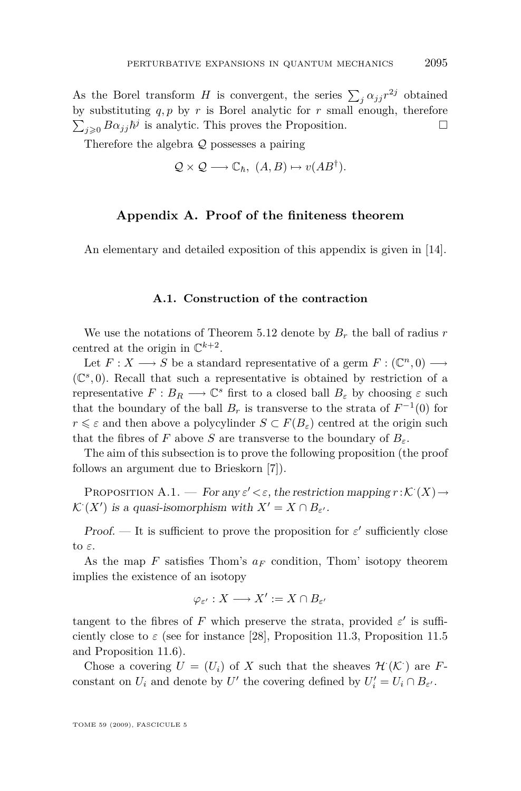<span id="page-35-0"></span>As the Borel transform *H* is convergent, the series  $\sum_j \alpha_{jj} r^{2j}$  obtained by substituting  $q, p$  by  $r$  is Borel analytic for  $r$  small enough, therefore  $\sum_{j\geqslant 0} B\alpha_{jj}\hbar^j$  is analytic. This proves the Proposition.

Therefore the algebra *Q* possesses a pairing

$$
Q \times Q \longrightarrow \mathbb{C}_{\hbar}, \ (A, B) \mapsto v(AB^{\dagger}).
$$

#### **Appendix A. Proof of the finiteness theorem**

An elementary and detailed exposition of this appendix is given in [\[14\]](#page-40-0).

#### **A.1. Construction of the contraction**

We use the notations of Theorem [5.12](#page-24-0) denote by  $B_r$  the ball of radius  $r$ centred at the origin in  $\mathbb{C}^{k+2}$ .

Let  $F: X \longrightarrow S$  be a standard representative of a germ  $F: (\mathbb{C}^n, 0) \longrightarrow$  $(\mathbb{C}^s, 0)$ . Recall that such a representative is obtained by restriction of a representative  $F: B_R \longrightarrow \mathbb{C}^s$  first to a closed ball  $B_\varepsilon$  by choosing  $\varepsilon$  such that the boundary of the ball  $B_r$  is transverse to the strata of  $F^{-1}(0)$  for  $r \leq \varepsilon$  and then above a polycylinder  $S \subset F(B_{\varepsilon})$  centred at the origin such that the fibres of *F* above *S* are transverse to the boundary of  $B_{\varepsilon}$ .

The aim of this subsection is to prove the following proposition (the proof follows an argument due to Brieskorn [\[7\]](#page-40-0)).

PROPOSITION A.1. — For any  $\varepsilon' < \varepsilon$ , the restriction mapping  $r : \mathcal{K}^1(X) \to$  $\mathcal{K}^{\cdot}(X')$  is a quasi-isomorphism with  $X' = X \cap B_{\varepsilon'}$ .

Proof. — It is sufficient to prove the proposition for  $\varepsilon'$  sufficiently close to *ε*.

As the map *F* satisfies Thom's *a<sup>F</sup>* condition, Thom' isotopy theorem implies the existence of an isotopy

$$
\varphi_{\varepsilon'}: X \longrightarrow X':= X \cap B_{\varepsilon'}
$$

tangent to the fibres of *F* which preserve the strata, provided  $\varepsilon'$  is sufficiently close to  $\varepsilon$  (see for instance [\[28\]](#page-40-0), Proposition 11.3, Proposition 11.5 and Proposition 11.6).

Chose a covering  $U = (U_i)$  of X such that the sheaves  $\mathcal{H}(\mathcal{K})$  are Fconstant on  $U_i$  and denote by  $U'$  the covering defined by  $U'_i = U_i \cap B_{\varepsilon'}$ .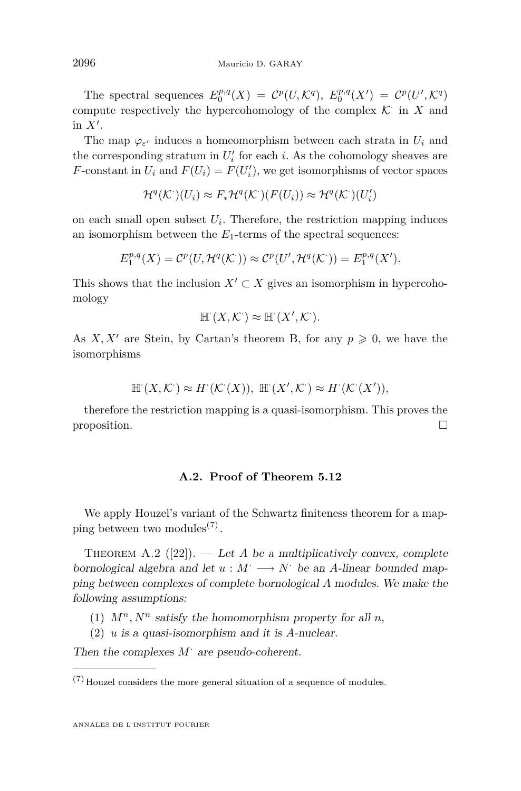<span id="page-36-0"></span>The spectral sequences  $E_0^{p,q}(X) = C^p(U, \mathcal{K}^q), E_0^{p,q}(X') = C^p(U', \mathcal{K}^q)$ compute respectively the hypercohomology of the complex  $K^{\cdot}$  in  $X$  and in  $X'$ .

The map  $\varphi_{\varepsilon}$  induces a homeomorphism between each strata in  $U_i$  and the corresponding stratum in  $U_i'$  for each *i*. As the cohomology sheaves are *F*-constant in  $U_i$  and  $F(U_i) = F(U'_i)$ , we get isomorphisms of vector spaces

$$
\mathcal{H}^q(\mathcal{K}^\cdot)(U_i) \approx F_*\mathcal{H}^q(\mathcal{K}^\cdot)(F(U_i)) \approx \mathcal{H}^q(\mathcal{K}^\cdot)(U_i')
$$

on each small open subset  $U_i$ . Therefore, the restriction mapping induces an isomorphism between the  $E_1$ -terms of the spectral sequences:

$$
E_1^{p,q}(X) = \mathcal{C}^p(U, \mathcal{H}^q(\mathcal{K}^{\cdot})) \approx \mathcal{C}^p(U', \mathcal{H}^q(\mathcal{K}^{\cdot})) = E_1^{p,q}(X').
$$

This shows that the inclusion  $X' \subset X$  gives an isomorphism in hypercohomology

$$
\mathbb{H}^1(X,\mathcal{K}^1) \approx \mathbb{H}^1(X',\mathcal{K}^1).
$$

As *X, X<sup>'</sup>* are Stein, by Cartan's theorem B, for any  $p \ge 0$ , we have the isomorphisms

$$
\mathbb{H}^1(X,\mathcal{K}^1) \approx H^1(\mathcal{K}^1(X)), \ \mathbb{H}^1(X',\mathcal{K}^1) \approx H^1(\mathcal{K}^1(X')),
$$

therefore the restriction mapping is a quasi-isomorphism. This proves the proposition.

#### **A.2. Proof of Theorem [5.12](#page-24-0)**

We apply Houzel's variant of the Schwartz finiteness theorem for a mapping between two modules<sup>(7)</sup>.

THEOREM A.2  $([22])$  $([22])$  $([22])$ . — Let *A* be a multiplicatively convex, complete bornological algebra and let  $u : M^{\cdot} \longrightarrow N^{\cdot}$  be an *A*-linear bounded mapping between complexes of complete bornological *A* modules. We make the following assumptions:

- (1)  $M^n$ ,  $N^n$  satisfy the homomorphism property for all *n*,
- (2) *u* is a quasi-isomorphism and it is *A*-nuclear.

Then the complexes *M·* are pseudo-coherent.

 $\left( 7\right)$  Houzel considers the more general situation of a sequence of modules.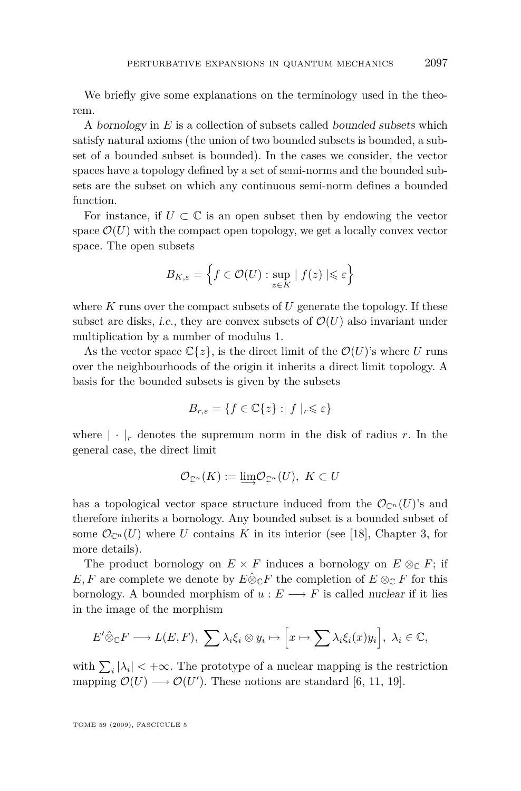We briefly give some explanations on the terminology used in the theorem.

A bornology in *E* is a collection of subsets called bounded subsets which satisfy natural axioms (the union of two bounded subsets is bounded, a subset of a bounded subset is bounded). In the cases we consider, the vector spaces have a topology defined by a set of semi-norms and the bounded subsets are the subset on which any continuous semi-norm defines a bounded function.

For instance, if  $U \subset \mathbb{C}$  is an open subset then by endowing the vector space  $\mathcal{O}(U)$  with the compact open topology, we get a locally convex vector space. The open subsets

$$
B_{K,\varepsilon} = \left\{ f \in \mathcal{O}(U) : \sup_{z \in K} |f(z)| \leqslant \varepsilon \right\}
$$

where *K* runs over the compact subsets of *U* generate the topology. If these subset are disks, i.e., they are convex subsets of  $\mathcal{O}(U)$  also invariant under multiplication by a number of modulus 1.

As the vector space  $\mathbb{C}\{z\}$ , is the direct limit of the  $\mathcal{O}(U)$ 's where *U* runs over the neighbourhoods of the origin it inherits a direct limit topology. A basis for the bounded subsets is given by the subsets

$$
B_{r,\varepsilon} = \{ f \in \mathbb{C}\{z\} : |f|_r \leqslant \varepsilon \}
$$

where  $|\cdot|_r$  denotes the supremum norm in the disk of radius r. In the general case, the direct limit

$$
\mathcal{O}_{\mathbb{C}^n}(K) := \varinjlim \mathcal{O}_{\mathbb{C}^n}(U), \ K \subset U
$$

has a topological vector space structure induced from the  $\mathcal{O}_{\mathbb{C}^n}(U)$ 's and therefore inherits a bornology. Any bounded subset is a bounded subset of some  $\mathcal{O}_{\mathbb{C}^n}(U)$  where *U* contains *K* in its interior (see [\[18\]](#page-40-0), Chapter 3, for more details).

The product bornology on  $E \times F$  induces a bornology on  $E \otimes_{\mathbb{C}} F$ ; if *E, F* are complete we denote by  $E \hat{\otimes}_{\mathbb{C}} F$  the completion of  $E \otimes_{\mathbb{C}} F$  for this bornology. A bounded morphism of  $u : E \longrightarrow F$  is called nuclear if it lies in the image of the morphism

$$
E'\hat{\otimes}_{\mathbb{C}}F \longrightarrow L(E,F), \sum \lambda_i \xi_i \otimes y_i \mapsto \left[x \mapsto \sum \lambda_i \xi_i(x)y_i\right], \lambda_i \in \mathbb{C},
$$

with  $\sum_i |\lambda_i| < +\infty$ . The prototype of a nuclear mapping is the restriction mapping  $\mathcal{O}(U) \longrightarrow \mathcal{O}(U')$ . These notions are standard [\[6,](#page-40-0) [11,](#page-40-0) [19\]](#page-40-0).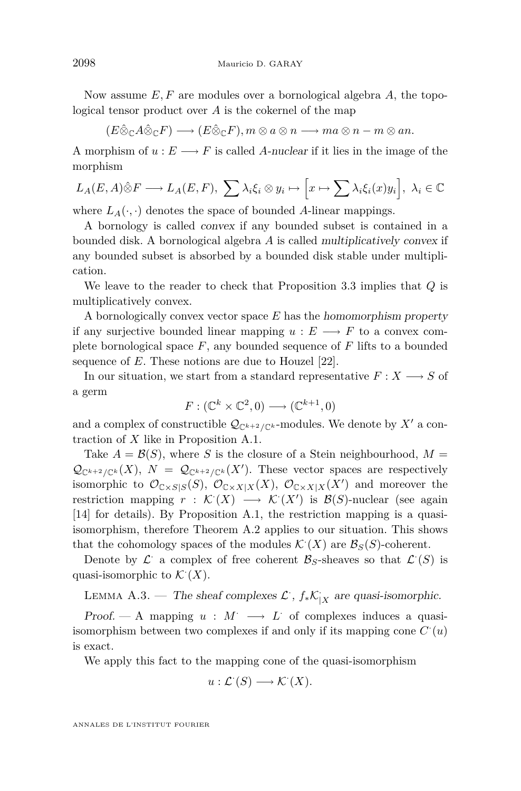Now assume *E, F* are modules over a bornological algebra *A*, the topological tensor product over *A* is the cokernel of the map

$$
(E\hat{\otimes}_{\mathbb{C}}A\hat{\otimes}_{\mathbb{C}}F)\longrightarrow (E\hat{\otimes}_{\mathbb{C}}F), m\otimes a\otimes n\longrightarrow ma\otimes n-m\otimes an.
$$

A morphism of  $u : E \longrightarrow F$  is called *A*-nuclear if it lies in the image of the morphism

$$
L_A(E, A)\hat{\otimes} F \longrightarrow L_A(E, F), \ \sum \lambda_i \xi_i \otimes y_i \longmapsto \left[x \mapsto \sum \lambda_i \xi_i(x) y_i\right], \ \lambda_i \in \mathbb{C}
$$

where  $L_A(\cdot, \cdot)$  denotes the space of bounded *A*-linear mappings.

A bornology is called convex if any bounded subset is contained in a bounded disk. A bornological algebra *A* is called multiplicatively convex if any bounded subset is absorbed by a bounded disk stable under multiplication.

We leave to the reader to check that Proposition [3.3](#page-12-0) implies that *Q* is multiplicatively convex.

A bornologically convex vector space *E* has the homomorphism property if any surjective bounded linear mapping  $u : E \longrightarrow F$  to a convex complete bornological space *F*, any bounded sequence of *F* lifts to a bounded sequence of *E*. These notions are due to Houzel [\[22\]](#page-40-0).

In our situation, we start from a standard representative  $F: X \longrightarrow S$  of a germ

$$
F: (\mathbb{C}^k \times \mathbb{C}^2, 0) \longrightarrow (\mathbb{C}^{k+1}, 0)
$$

and a complex of constructible  $\mathcal{Q}_{\mathbb{C}^{k+2}/\mathbb{C}^k}$ -modules. We denote by  $X'$  a contraction of *X* like in Proposition [A.1.](#page-35-0)

Take  $A = \mathcal{B}(S)$ , where *S* is the closure of a Stein neighbourhood,  $M =$  $\mathcal{Q}_{\mathbb{C}^{k+2}/\mathbb{C}^k}(X), N = \mathcal{Q}_{\mathbb{C}^{k+2}/\mathbb{C}^k}(X')$ . These vector spaces are respectively isomorphic to  $\mathcal{O}_{\mathbb{C}\times S|S}(S)$ ,  $\mathcal{O}_{\mathbb{C}\times X|X}(X)$ ,  $\mathcal{O}_{\mathbb{C}\times X|X}(X')$  and moreover the restriction mapping  $r : \mathcal{K}(X) \longrightarrow \mathcal{K}(X')$  is  $\mathcal{B}(S)$ -nuclear (see again [\[14\]](#page-40-0) for details). By Proposition [A.1,](#page-35-0) the restriction mapping is a quasiisomorphism, therefore Theorem [A.2](#page-36-0) applies to our situation. This shows that the cohomology spaces of the modules  $\mathcal{K}^{\cdot}(X)$  are  $\mathcal{B}_{S}(S)$ -coherent.

Denote by  $\mathcal{L}$  a complex of free coherent  $\mathcal{B}_S$ -sheaves so that  $\mathcal{L}^{\cdot}(S)$  is quasi-isomorphic to  $\mathcal{K}^{\cdot}(X)$ .

LEMMA A.3. — The sheaf complexes  $\mathcal{L}$ ,  $f_* \mathcal{K}_{|X}$  are quasi-isomorphic.

Proof. — A mapping  $u : M^r \longrightarrow L^r$  of complexes induces a quasiisomorphism between two complexes if and only if its mapping cone  $C'(u)$ is exact.

We apply this fact to the mapping cone of the quasi-isomorphism

$$
u: \mathcal{L}^{\cdot}(S) \longrightarrow \mathcal{K}^{\cdot}(X).
$$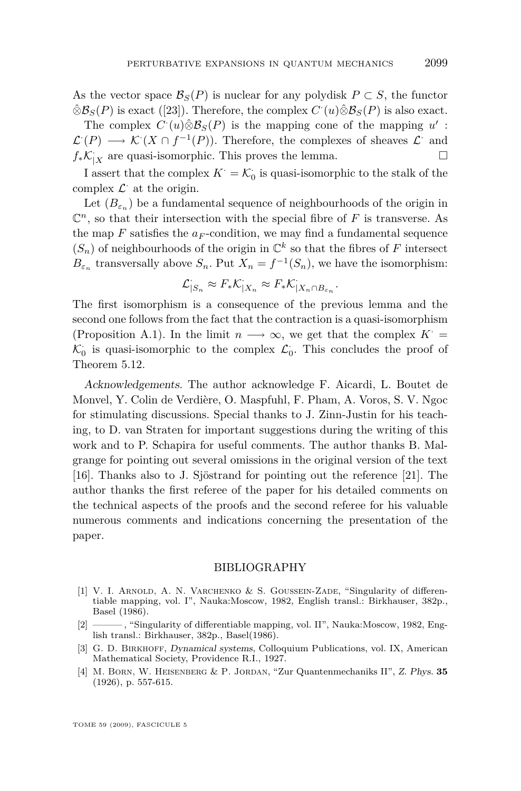<span id="page-39-0"></span>As the vector space  $\mathcal{B}_S(P)$  is nuclear for any polydisk  $P \subset S$ , the functor  $\hat{\otimes} \mathcal{B}_S(P)$  is exact ([\[23\]](#page-40-0)). Therefore, the complex  $C'(u)\hat{\otimes} \mathcal{B}_S(P)$  is also exact.

The complex  $C'(u)\hat{\otimes}B_S(P)$  is the mapping cone of the mapping  $u'$ :  $\mathcal{L}^1(P) \longrightarrow \mathcal{K}^1(X \cap f^{-1}(P))$ . Therefore, the complexes of sheaves  $\mathcal{L}^1$  and  $f_*\mathcal{K}_{|X}$  are quasi-isomorphic. This proves the lemma.  $\square$ 

I assert that the complex  $K^{\cdot} = \mathcal{K}^{\cdot}_0$  is quasi-isomorphic to the stalk of the complex  $\mathcal{L}$  at the origin.

Let  $(B_{\varepsilon_n})$  be a fundamental sequence of neighbourhoods of the origin in  $\mathbb{C}^n$ , so that their intersection with the special fibre of *F* is transverse. As the map  $F$  satisfies the  $a_F$ -condition, we may find a fundamental sequence  $(S_n)$  of neighbourhoods of the origin in  $\mathbb{C}^k$  so that the fibres of  $F$  intersect  $B_{\varepsilon_n}$  transversally above  $S_n$ . Put  $X_n = f^{-1}(S_n)$ , we have the isomorphism:

$$
\mathcal{L}_{|S_n} \approx F_* \mathcal{K}_{|X_n} \approx F_* \mathcal{K}_{|X_n \cap B_{\varepsilon_n}}.
$$

The first isomorphism is a consequence of the previous lemma and the second one follows from the fact that the contraction is a quasi-isomorphism (Proposition [A.1\)](#page-35-0). In the limit  $n \rightarrow \infty$ , we get that the complex  $K^+$  $\mathcal{K}_0$  is quasi-isomorphic to the complex  $\mathcal{L}_0$ . This concludes the proof of Theorem [5.12.](#page-24-0)

Acknowledgements. The author acknowledge F. Aicardi, L. Boutet de Monvel, Y. Colin de Verdière, O. Maspfuhl, F. Pham, A. Voros, S. V. Ngoc for stimulating discussions. Special thanks to J. Zinn-Justin for his teaching, to D. van Straten for important suggestions during the writing of this work and to P. Schapira for useful comments. The author thanks B. Malgrange for pointing out several omissions in the original version of the text [\[16\]](#page-40-0). Thanks also to J. Sjöstrand for pointing out the reference [\[21\]](#page-40-0). The author thanks the first referee of the paper for his detailed comments on the technical aspects of the proofs and the second referee for his valuable numerous comments and indications concerning the presentation of the paper.

#### BIBLIOGRAPHY

- [1] V. I. ARNOLD, A. N. VARCHENKO & S. GOUSSEIN-ZADE, "Singularity of differentiable mapping, vol. I", Nauka:Moscow, 1982, English transl.: Birkhauser, 382p., Basel (1986).
- [2] ——— , "Singularity of differentiable mapping, vol. II", Nauka:Moscow, 1982, English transl.: Birkhauser, 382p., Basel(1986).
- [3] G. D. Birkhoff, Dynamical systems, Colloquium Publications, vol. IX, American Mathematical Society, Providence R.I., 1927.
- [4] M. Born, W. Heisenberg & P. Jordan, "Zur Quantenmechaniks II", Z. Phys. **35** (1926), p. 557-615.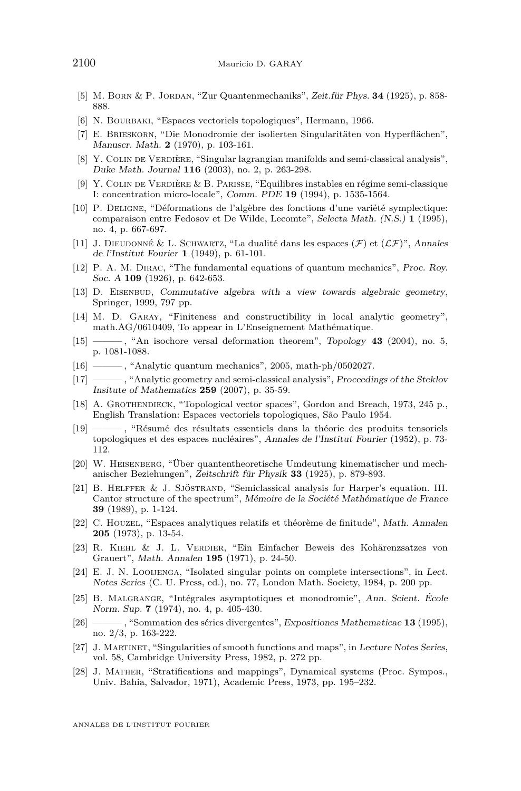- <span id="page-40-0"></span>[5] M. Born & P. Jordan, "Zur Quantenmechaniks", Zeit.für Phys. **34** (1925), p. 858- 888.
- [6] N. BOURBAKI, "Espaces vectoriels topologiques", Hermann, 1966.
- [7] E. Brieskorn, "Die Monodromie der isolierten Singularitäten von Hyperflächen", Manuscr. Math. **2** (1970), p. 103-161.
- [8] Y. COLIN DE VERDIÈRE, "Singular lagrangian manifolds and semi-classical analysis", Duke Math. Journal **116** (2003), no. 2, p. 263-298.
- [9] Y. Colin de Verdière & B. Parisse, "Equilibres instables en régime semi-classique I: concentration micro-locale", Comm. PDE **19** (1994), p. 1535-1564.
- [10] P. Deligne, "Déformations de l'algèbre des fonctions d'une variété symplectique: comparaison entre Fedosov et De Wilde, Lecomte", Selecta Math. (N.S.) **1** (1995), no. 4, p. 667-697.
- [11] J. DIEUDONNÉ & L. SCHWARTZ, "La dualité dans les espaces  $(F)$  et  $(LF)$ ", Annales de l'Institut Fourier **1** (1949), p. 61-101.
- [12] P. A. M. DIRAC, "The fundamental equations of quantum mechanics", Proc. Roy. Soc. A **109** (1926), p. 642-653.
- [13] D. EISENBUD, Commutative algebra with a view towards algebraic geometry, Springer, 1999, 797 pp.
- [14] M. D. Garay, "Finiteness and constructibility in local analytic geometry", math.AG/0610409, To appear in L'Enseignement Mathématique.
- [15] ——— , "An isochore versal deformation theorem", Topology **43** (2004), no. 5, p. 1081-1088.
- [16] ——— , "Analytic quantum mechanics", 2005, math-ph/0502027.
- [17] ——— , "Analytic geometry and semi-classical analysis", Proceedings of the Steklov Insitute of Mathematics **259** (2007), p. 35-59.
- [18] A. Grothendieck, "Topological vector spaces", Gordon and Breach, 1973, 245 p., English Translation: Espaces vectoriels topologiques, São Paulo 1954.
- [19] ——— , "Résumé des résultats essentiels dans la théorie des produits tensoriels topologiques et des espaces nucléaires", Annales de l'Institut Fourier (1952), p. 73- 112.
- [20] W. Heisenberg, "Über quantentheoretische Umdeutung kinematischer und mechanischer Beziehungen", Zeitschrift für Physik **33** (1925), p. 879-893.
- [21] B. Helffer & J. Sjöstrand, "Semiclassical analysis for Harper's equation. III. Cantor structure of the spectrum", Mémoire de la Société Mathématique de France **39** (1989), p. 1-124.
- [22] C. Houzel, "Espaces analytiques relatifs et théorème de finitude", Math. Annalen **205** (1973), p. 13-54.
- [23] R. Kiehl & J. L. Verdier, "Ein Einfacher Beweis des Kohärenzsatzes von Grauert", Math. Annalen **195** (1971), p. 24-50.
- [24] E. J. N. Looijenga, "Isolated singular points on complete intersections", in Lect. Notes Series (C. U. Press, ed.), no. 77, London Math. Society, 1984, p. 200 pp.
- [25] B. Malgrange, "Intégrales asymptotiques et monodromie", Ann. Scient. École Norm. Sup. **7** (1974), no. 4, p. 405-430.
- [26] ——— , "Sommation des séries divergentes", Expositiones Mathematicae **13** (1995), no. 2/3, p. 163-222.
- [27] J. Martinet, "Singularities of smooth functions and maps", in Lecture Notes Series, vol. 58, Cambridge University Press, 1982, p. 272 pp.
- [28] J. Mather, "Stratifications and mappings", Dynamical systems (Proc. Sympos., Univ. Bahia, Salvador, 1971), Academic Press, 1973, pp. 195–232.